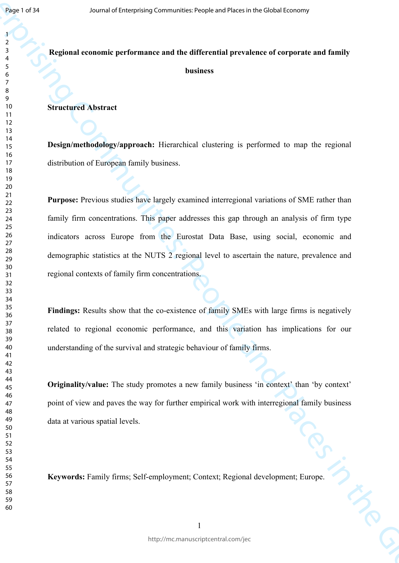# **Regional economic performance and the differential prevalence of corporate and family business**

#### **Structured Abstract**

**Design/methodology/approach:** Hierarchical clustering is performed to map the regional distribution of European family business.

Journal of Enterprising Communities: People and Places in the Global Economy<br>
Journal of Enterprising Communities: People and Places in the Global Economic and Dunlin<br>
11<br>
12<br>
Structured Abstract<br>
12<br>
Structured Abstract<br> **Purpose:** Previous studies have largely examined interregional variations of SME rather than family firm concentrations. This paper addresses this gap through an analysis of firm type indicators across Europe from the Eurostat Data Base, using social, economic and demographic statistics at the NUTS 2 regional level to ascertain the nature, prevalence and regional contexts of family firm concentrations.

Findings: Results show that the co-existence of family SMEs with large firms is negatively related to regional economic performance, and this variation has implications for our understanding of the survival and strategic behaviour of family firms.

**Originality/value:** The study promotes a new family business 'in context' than 'by context' point of view and paves the way for further empirical work with interregional family business data at various spatial levels.

**Keywords:** Family firms; Self-employment; Context; Regional development; Europe.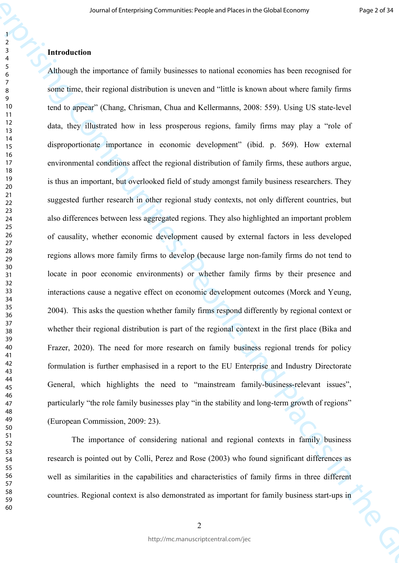Journal of Laterprising Communicative<br>Seconds and these controls and the Global Economic Seconds and Places in<br>the Scheme Figure 2017 Computer of Enterprising Communities in the Communities in the Computer Computer of Com Although the importance of family businesses to national economies has been recognised for some time, their regional distribution is uneven and "little is known about where family firms tend to appear" (Chang, Chrisman, Chua and Kellermanns, 2008: 559). Using US state-level data, they illustrated how in less prosperous regions, family firms may play a "role of disproportionate importance in economic development" (ibid. p. 569). How external environmental conditions affect the regional distribution of family firms, these authors argue, is thus an important, but overlooked field of study amongst family business researchers. They suggested further research in other regional study contexts, not only different countries, but also differences between less aggregated regions. They also highlighted an important problem of causality, whether economic development caused by external factors in less developed regions allows more family firms to develop (because large non-family firms do not tend to locate in poor economic environments) or whether family firms by their presence and interactions cause a negative effect on economic development outcomes (Morck and Yeung, 2004). This asks the question whether family firms respond differently by regional context or whether their regional distribution is part of the regional context in the first place (Bika and Frazer, 2020). The need for more research on family business regional trends for policy formulation is further emphasised in a report to the EU Enterprise and Industry Directorate General, which highlights the need to "mainstream family-business-relevant issues", particularly "the role family businesses play "in the stability and long-term growth of regions" (European Commission, 2009: 23).

The importance of considering national and regional contexts in family business research is pointed out by Colli, Perez and Rose (2003) who found significant differences as well as similarities in the capabilities and characteristics of family firms in three different countries. Regional context is also demonstrated as important for family business start-ups in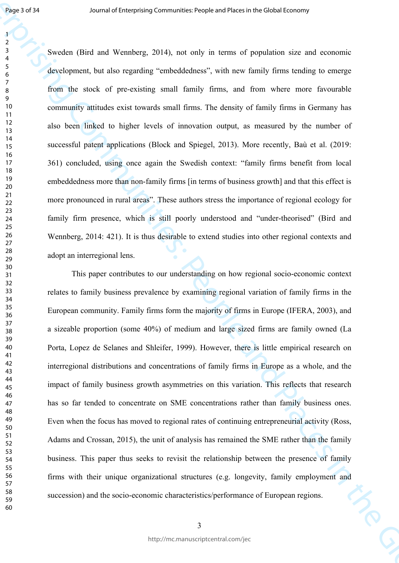Sweden (Bird and Wennberg, 2014), not only in terms of population size and economic development, but also regarding "embeddedness", with new family firms tending to emerge from the stock of pre-existing small family firms, and from where more favourable community attitudes exist towards small firms. The density of family firms in Germany has also been linked to higher levels of innovation output, as measured by the number of successful patent applications (Block and Spiegel, 2013). More recently, Baù et al. (2019: 361) concluded, using once again the Swedish context: "family firms benefit from local embeddedness more than non-family firms [in terms of business growth] and that this effect is more pronounced in rural areas". These authors stress the importance of regional ecology for family firm presence, which is still poorly understood and "under-theorised" (Bird and Wennberg, 2014: 421). It is thus desirable to extend studies into other regional contexts and adopt an interregional lens.

Jose 1 of 14<br>
Journal of Landy Communities: Proposition of Particles in the Global Control of The School (First and The Global Theoretic School of The Global Economic School of The School of The School of The School of Th This paper contributes to our understanding on how regional socio-economic context relates to family business prevalence by examining regional variation of family firms in the European community. Family firms form the majority of firms in Europe (IFERA, 2003), and a sizeable proportion (some 40%) of medium and large sized firms are family owned (La Porta, Lopez de Selanes and Shleifer, 1999). However, there is little empirical research on interregional distributions and concentrations of family firms in Europe as a whole, and the impact of family business growth asymmetries on this variation. This reflects that research has so far tended to concentrate on SME concentrations rather than family business ones. Even when the focus has moved to regional rates of continuing entrepreneurial activity (Ross, Adams and Crossan, 2015), the unit of analysis has remained the SME rather than the family business. This paper thus seeks to revisit the relationship between the presence of family firms with their unique organizational structures (e.g. longevity, family employment and succession) and the socio-economic characteristics/performance of European regions.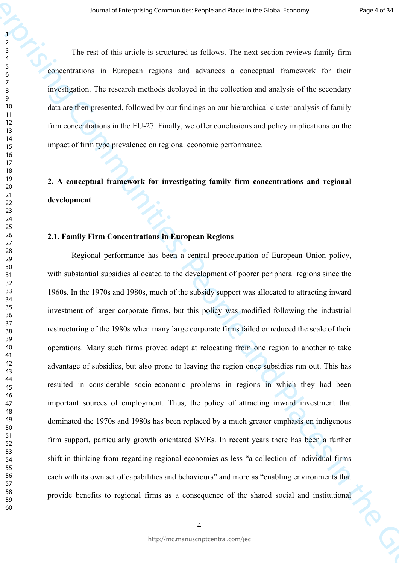The rest of this article is structured as follows. The next section reviews family firm concentrations in European regions and advances a conceptual framework for their investigation. The research methods deployed in the collection and analysis of the secondary data are then presented, followed by our findings on our hierarchical cluster analysis of family firm concentrations in the EU-27. Finally, we offer conclusions and policy implications on the impact of firm type prevalence on regional economic performance.

# **2. A conceptual framework for investigating family firm concentrations and regional development**

### **2.1. Family Firm Concentrations in European Regions**

*Burmal of Laterprising Communes* theoretical desires in Bricalistics in the View of the Construction of Equal Communities: The Theoretical Economy of the Construction of Equal Communities: The Theoretical Economy of the Regional performance has been a central preoccupation of European Union policy, with substantial subsidies allocated to the development of poorer peripheral regions since the 1960s. In the 1970s and 1980s, much of the subsidy support was allocated to attracting inward investment of larger corporate firms, but this policy was modified following the industrial restructuring of the 1980s when many large corporate firms failed or reduced the scale of their operations. Many such firms proved adept at relocating from one region to another to take advantage of subsidies, but also prone to leaving the region once subsidies run out. This has resulted in considerable socio-economic problems in regions in which they had been important sources of employment. Thus, the policy of attracting inward investment that dominated the 1970s and 1980s has been replaced by a much greater emphasis on indigenous firm support, particularly growth orientated SMEs. In recent years there has been a further shift in thinking from regarding regional economies as less "a collection of individual firms each with its own set of capabilities and behaviours" and more as "enabling environments that provide benefits to regional firms as a consequence of the shared social and institutional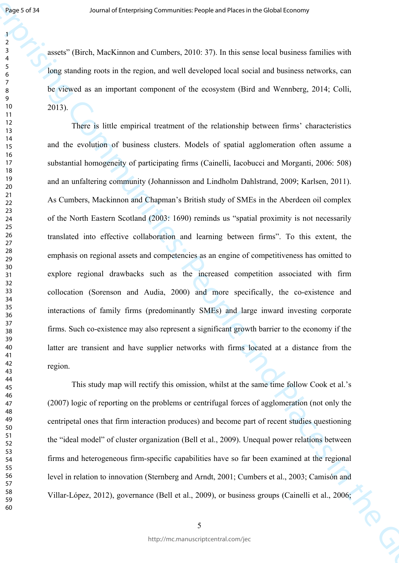assets" (Birch, MacKinnon and Cumbers, 2010: 37). In this sense local business families with long standing roots in the region, and well developed local social and business networks, can be viewed as an important component of the ecosystem (Bird and Wennberg, 2014; Colli, 2013).

Jose of H<br>Singer of Global Moleclinnon and Curreleve, 2010: 17) in this same local both singered with<br>respect the polynomy of Curreleve, 2010: 17) in this same local both both<br>sing anothing model in the respective and wit There is little empirical treatment of the relationship between firms' characteristics and the evolution of business clusters. Models of spatial agglomeration often assume a substantial homogeneity of participating firms (Cainelli, Iacobucci and Morganti, 2006: 508) and an unfaltering community (Johannisson and Lindholm Dahlstrand, 2009; Karlsen, 2011). As Cumbers, Mackinnon and Chapman's British study of SMEs in the Aberdeen oil complex of the North Eastern Scotland (2003: 1690) reminds us "spatial proximity is not necessarily translated into effective collaboration and learning between firms". To this extent, the emphasis on regional assets and competencies as an engine of competitiveness has omitted to explore regional drawbacks such as the increased competition associated with firm collocation (Sorenson and Audia, 2000) and more specifically, the co-existence and interactions of family firms (predominantly SMEs) and large inward investing corporate firms. Such co-existence may also represent a significant growth barrier to the economy if the latter are transient and have supplier networks with firms located at a distance from the region.

This study map will rectify this omission, whilst at the same time follow Cook et al.'s (2007) logic of reporting on the problems or centrifugal forces of agglomeration (not only the centripetal ones that firm interaction produces) and become part of recent studies questioning the "ideal model" of cluster organization (Bell et al., 2009). Unequal power relations between firms and heterogeneous firm-specific capabilities have so far been examined at the regional level in relation to innovation (Sternberg and Arndt, 2001; Cumbers et al., 2003; Camisón and Villar-López, 2012), governance (Bell et al., 2009), or business groups (Cainelli et al., 2006;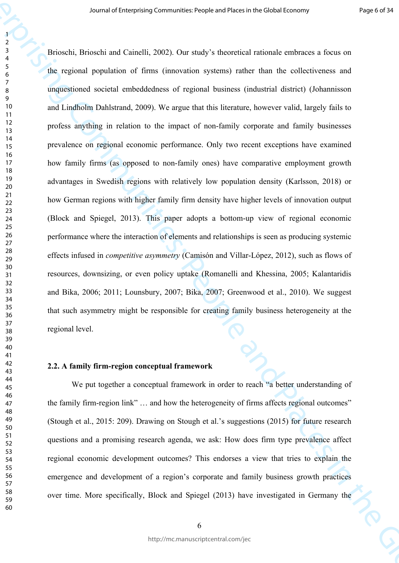*Frame of Laterprising Communities: People and Haster of British Loopey Properties:*<br>
Journal of Consistent of First Communities: Properties in the Global Economy of the explered system of the enterprising Communities in Brioschi, Brioschi and Cainelli, 2002). Our study's theoretical rationale embraces a focus on the regional population of firms (innovation systems) rather than the collectiveness and unquestioned societal embeddedness of regional business (industrial district) (Johannisson and Lindholm Dahlstrand, 2009). We argue that this literature, however valid, largely fails to profess anything in relation to the impact of non-family corporate and family businesses prevalence on regional economic performance. Only two recent exceptions have examined how family firms (as opposed to non-family ones) have comparative employment growth advantages in Swedish regions with relatively low population density (Karlsson, 2018) or how German regions with higher family firm density have higher levels of innovation output (Block and Spiegel, 2013). This paper adopts a bottom-up view of regional economic performance where the interaction of elements and relationships is seen as producing systemic effects infused in *competitive asymmetry* (Camisón and Villar-López, 2012), such as flows of resources, downsizing, or even policy uptake (Romanelli and Khessina, 2005; Kalantaridis and Bika, 2006; 2011; Lounsbury, 2007; Bika, 2007; Greenwood et al., 2010). We suggest that such asymmetry might be responsible for creating family business heterogeneity at the regional level.

#### **2.2. A family firm-region conceptual framework**

We put together a conceptual framework in order to reach "a better understanding of the family firm-region link" … and how the heterogeneity of firms affects regional outcomes" (Stough et al., 2015: 209). Drawing on Stough et al.'s suggestions (2015) for future research questions and a promising research agenda, we ask: How does firm type prevalence affect regional economic development outcomes? This endorses a view that tries to explain the emergence and development of a region's corporate and family business growth practices over time. More specifically, Block and Spiegel (2013) have investigated in Germany the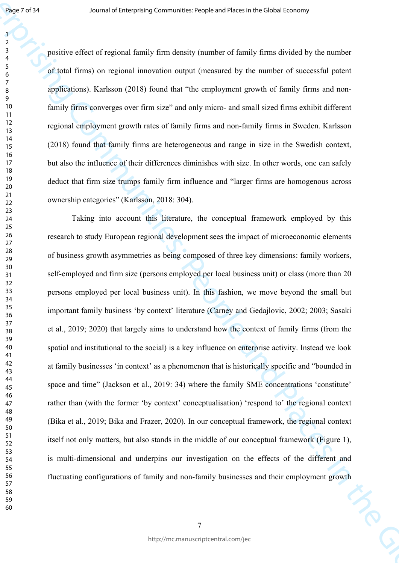positive effect of regional family firm density (number of family firms divided by the number of total firms) on regional innovation output (measured by the number of successful patent applications). Karlsson (2018) found that "the employment growth of family firms and nonfamily firms converges over firm size" and only micro- and small sized firms exhibit different regional employment growth rates of family firms and non-family firms in Sweden. Karlsson (2018) found that family firms are heterogeneous and range in size in the Swedish context, but also the influence of their differences diminishes with size. In other words, one can safely deduct that firm size trumps family firm influence and "larger firms are homogenous across ownership categories" (Karlsson, 2018: 304).

**Experimental of the main of the Communities: People and Places in People's low-<br>
Journal of Enterprising Communities: People's Communities: People's and Places in the Global Economy<br>
Journal of Economy computed and Place** Taking into account this literature, the conceptual framework employed by this research to study European regional development sees the impact of microeconomic elements of business growth asymmetries as being composed of three key dimensions: family workers, self-employed and firm size (persons employed per local business unit) or class (more than 20 persons employed per local business unit). In this fashion, we move beyond the small but important family business 'by context' literature (Carney and Gedajlovic, 2002; 2003; Sasaki et al., 2019; 2020) that largely aims to understand how the context of family firms (from the spatial and institutional to the social) is a key influence on enterprise activity. Instead we look at family businesses 'in context' as a phenomenon that is historically specific and "bounded in space and time" (Jackson et al., 2019: 34) where the family SME concentrations 'constitute' rather than (with the former 'by context' conceptualisation) 'respond to' the regional context (Bika et al., 2019; Bika and Frazer, 2020). In our conceptual framework, the regional context itself not only matters, but also stands in the middle of our conceptual framework (Figure 1), is multi-dimensional and underpins our investigation on the effects of the different and fluctuating configurations of family and non-family businesses and their employment growth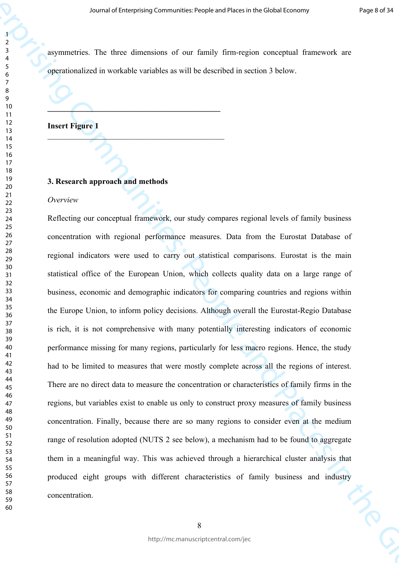asymmetries. The three dimensions of our family firm-region conceptual framework are operationalized in workable variables as will be described in section 3 below.

# **Insert Figure 1**

# **3. Research approach and methods**

**\_\_\_\_\_\_\_\_\_\_\_\_\_\_\_\_\_\_\_\_\_\_\_\_\_\_\_\_\_\_\_\_\_\_\_\_\_\_\_\_\_\_\_**

 $\mathcal{L}$ 

#### *Overview*

Journal of Laterprising Communicative<br>
Journal of Enterprising Communication of each fundation of Enterprising consequent functions<br>  $\frac{1}{2}$ <br>
The communities in the Modelle confinition and Places in the Global Economy o Reflecting our conceptual framework, our study compares regional levels of family business concentration with regional performance measures. Data from the Eurostat Database of regional indicators were used to carry out statistical comparisons. Eurostat is the main statistical office of the European Union, which collects quality data on a large range of business, economic and demographic indicators for comparing countries and regions within the Europe Union, to inform policy decisions. Although overall the Eurostat-Regio Database is rich, it is not comprehensive with many potentially interesting indicators of economic performance missing for many regions, particularly for less macro regions. Hence, the study had to be limited to measures that were mostly complete across all the regions of interest. There are no direct data to measure the concentration or characteristics of family firms in the regions, but variables exist to enable us only to construct proxy measures of family business concentration. Finally, because there are so many regions to consider even at the medium range of resolution adopted (NUTS 2 see below), a mechanism had to be found to aggregate them in a meaningful way. This was achieved through a hierarchical cluster analysis that produced eight groups with different characteristics of family business and industry concentration.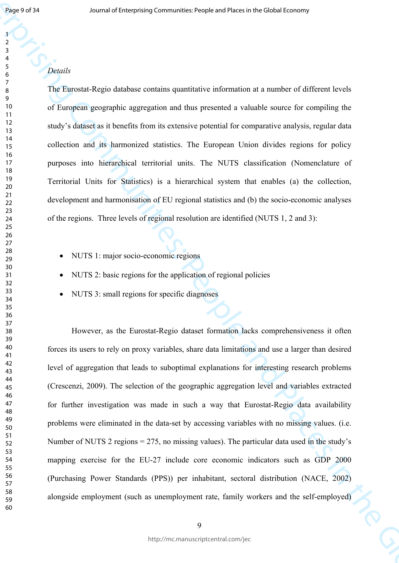# *Details*

The Eurostat-Regio database contains quantitative information at a number of different levels of European geographic aggregation and thus presented a valuable source for compiling the study's dataset as it benefits from its extensive potential for comparative analysis, regular data collection and its harmonized statistics. The European Union divides regions for policy purposes into hierarchical territorial units. The NUTS classification (Nomenclature of Territorial Units for Statistics) is a hierarchical system that enables (a) the collection, development and harmonisation of EU regional statistics and (b) the socio-economic analyses of the regions. Three levels of regional resolution are identified (NUTS 1, 2 and 3):

- NUTS 1: major socio-economic regions
- NUTS 2: basic regions for the application of regional policies
- NUTS 3: small regions for specific diagnoses

Experiment of the Enterprising Communitie[s:](http://ec.europa.eu/eurostat/ramon/nomenclatures/index.cfm?TargetUrl=LST_CLS_DLD&StrNom=NUTS_33&StrLanguageCode=EN) Propries and Places in the Global Economy<br>
The Fundati Regist dishbute contrains contribute information at a number of different levels<br>
of François Regist dishbute contrains co However, as the Eurostat-Regio dataset formation lacks comprehensiveness it often forces its users to rely on proxy variables, share data limitations and use a larger than desired level of aggregation that leads to suboptimal explanations for interesting research problems (Crescenzi, 2009). The selection of the geographic aggregation level and variables extracted for further investigation was made in such a way that Eurostat-Regio data availability problems were eliminated in the data-set by accessing variables with no missing values. (i.e. Number of NUTS 2 regions = 275, no missing values). The particular data used in the study's mapping exercise for the EU-27 include core economic indicators such as GDP 2000 (Purchasing Power Standards (PPS)) per inhabitant, sectoral distribution (NACE, 2002) alongside employment (such as unemployment rate, family workers and the self-employed)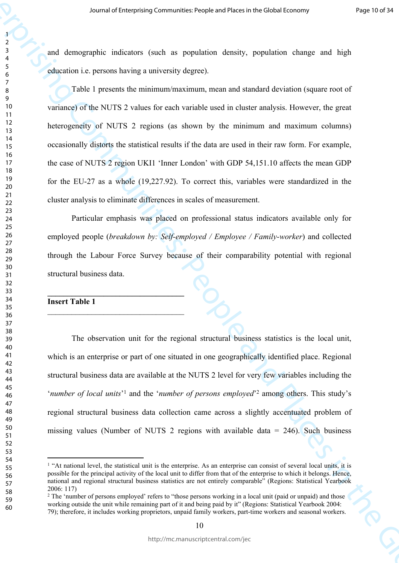and demographic indicators (such as population density, population change and high education i.e. persons having a university degree).

Journal of Laterprising Communities: People and Places in People's loosing<br>  $\frac{1}{2}$  and distribution (smalle as a sympthetic eleventry, possible and help and help and<br>  $\frac{1}{2}$  and distribution for each vertical enterp Table 1 presents the minimum/maximum, mean and standard deviation (square root of variance) of the NUTS 2 values for each variable used in cluster analysis. However, the great heterogeneity of NUTS 2 regions (as shown by the minimum and maximum columns) occasionally distorts the statistical results if the data are used in their raw form. For example, the case of NUTS 2 region UKI1 'Inner London' with GDP 54,151.10 affects the mean GDP for the EU-27 as a whole (19,227.92). To correct this, variables were standardized in the cluster analysis to eliminate differences in scales of measurement.

Particular emphasis was placed on professional status indicators available only for employed people (*breakdown by: Self-employed / Employee / Family-worker*) and collected through the Labour Force Survey because of their comparability potential with regional structural business data.

# **Insert Table 1**

**\_\_\_\_\_\_\_\_\_\_\_\_\_\_\_\_\_\_\_\_\_\_\_\_\_\_\_\_\_\_\_\_\_\_**

\_\_\_\_\_\_\_\_\_\_\_\_\_\_\_\_\_\_\_\_\_\_\_\_\_\_\_\_\_\_\_\_\_\_

The observation unit for the regional structural business statistics is the local unit, which is an enterprise or part of one situated in one geographically identified place. Regional structural business data are available at the NUTS 2 level for very few variables including the '*number of local units*<sup>'1</sup> and the '*number of persons employed*<sup>'2</sup> among others. This study's regional structural business data collection came across a slightly accentuated problem of missing values (Number of NUTS 2 regions with available data  $= 246$ ). Such business

<sup>&</sup>lt;sup>1</sup> "At national level, the statistical unit is the enterprise. As an enterprise can consist of several local units, it is possible for the principal activity of the local unit to differ from that of the enterprise to which it belongs. Hence, national and regional structural business statistics are not entirely comparable" (Regions: Statistical Yearbook 2006: 117)

<sup>&</sup>lt;sup>2</sup> The 'number of persons employed' refers to "those persons working in a local unit (paid or unpaid) and those working outside the unit while remaining part of it and being paid by it" (Regions: Statistical Yearbook 2004: 79); therefore, it includes working proprietors, unpaid family workers, part-time workers and seasonal workers.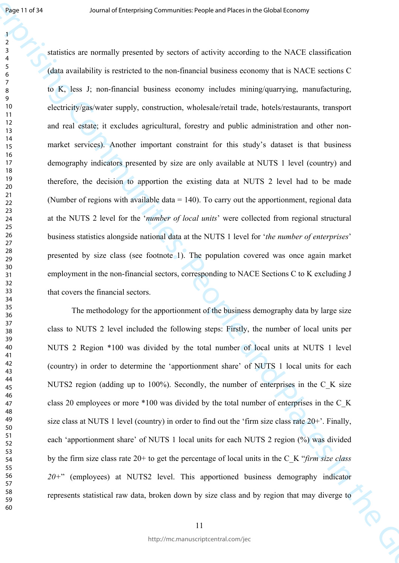**Example 2.1** Sources of Enterprising Communicatives in the disk control of the SNTS Levi and Communities: People and Places in the SNTS Communities:  $\frac{1}{2}$  Analysis is restricted to the non-financial business isometry statistics are normally presented by sectors of activity according to the NACE classification (data availability is restricted to the non-financial business economy that is NACE sections C to K, less J; non-financial business economy includes mining/quarrying, manufacturing, electricity/gas/water supply, construction, wholesale/retail trade, hotels/restaurants, transport and real estate; it excludes agricultural, forestry and public administration and other nonmarket services). Another important constraint for this study's dataset is that business demography indicators presented by size are only available at NUTS 1 level (country) and therefore, the decision to apportion the existing data at NUTS 2 level had to be made (Number of regions with available data = 140). To carry out the apportionment, regional data at the NUTS 2 level for the '*number of local units*' were collected from regional structural business statistics alongside national data at the NUTS 1 level for '*the number of enterprises*' presented by size class (see footnote 1). The population covered was once again market employment in the non-financial sectors, corresponding to NACE Sections C to K excluding J that covers the financial sectors.

The methodology for the apportionment of the business demography data by large size class to NUTS 2 level included the following steps: Firstly, the number of local units per NUTS 2 Region \*100 was divided by the total number of local units at NUTS 1 level (country) in order to determine the 'apportionment share' of NUTS 1 local units for each NUTS2 region (adding up to 100%). Secondly, the number of enterprises in the C K size class 20 employees or more \*100 was divided by the total number of enterprises in the C\_K size class at NUTS 1 level (country) in order to find out the 'firm size class rate 20+'. Finally, each 'apportionment share' of NUTS 1 local units for each NUTS 2 region (%) was divided by the firm size class rate 20+ to get the percentage of local units in the C\_K "*firm size class 20+*" (employees) at NUTS2 level. This apportioned business demography indicator represents statistical raw data, broken down by size class and by region that may diverge to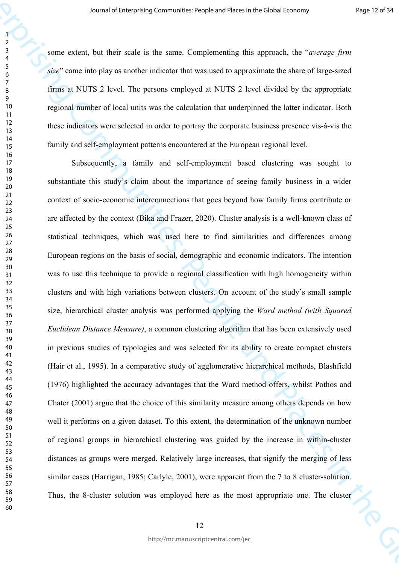some extent, but their scale is the same. Complementing this approach, the "*average firm size*" came into play as another indicator that was used to approximate the share of large-sized firms at NUTS 2 level. The persons employed at NUTS 2 level divided by the appropriate regional number of local units was the calculation that underpinned the latter indicator. Both these indicators were selected in order to portray the corporate business presence vis-à-vis the family and self-employment patterns encountered at the European regional level.

Journal of Laterprising Communicative<br>points of Figure 10.4 (1993) The Computer of Equation (1994) The Computer of Equation (1994)<br>  $\frac{1}{2}$  Since the Figure is a state of the same Complementing this ingredies the Compos Subsequently, a family and self-employment based clustering was sought to substantiate this study's claim about the importance of seeing family business in a wider context of socio-economic interconnections that goes beyond how family firms contribute or are affected by the context (Bika and Frazer, 2020). Cluster analysis is a well-known class of statistical techniques, which was used here to find similarities and differences among European regions on the basis of social, demographic and economic indicators. The intention was to use this technique to provide a regional classification with high homogeneity within clusters and with high variations between clusters. On account of the study's small sample size, hierarchical cluster analysis was performed applying the *Ward method (with Squared Euclidean Distance Measure)*, a common clustering algorithm that has been extensively used in previous studies of typologies and was selected for its ability to create compact clusters (Hair et al., 1995). In a comparative study of agglomerative hierarchical methods, Blashfield (1976) highlighted the accuracy advantages that the Ward method offers, whilst Pothos and Chater (2001) argue that the choice of this similarity measure among others depends on how well it performs on a given dataset. To this extent, the determination of the unknown number of regional groups in hierarchical clustering was guided by the increase in within-cluster distances as groups were merged. Relatively large increases, that signify the merging of less similar cases (Harrigan, 1985; Carlyle, 2001), were apparent from the 7 to 8 cluster-solution. Thus, the 8-cluster solution was employed here as the most appropriate one. The cluster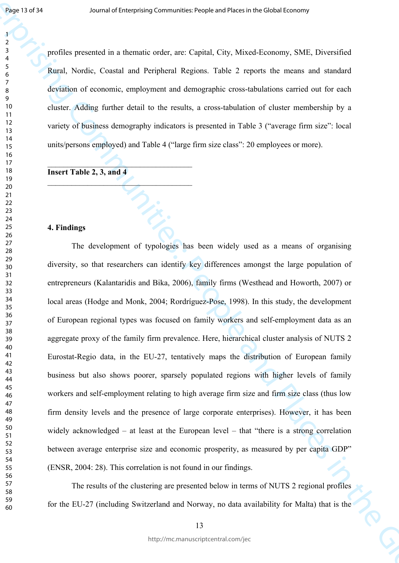profiles presented in a thematic order, are: Capital, City, Mixed-Economy, SME, Diversified Rural, Nordic, Coastal and Peripheral Regions. Table 2 reports the means and standard deviation of economic, employment and demographic cross-tabulations carried out for each cluster. Adding further detail to the results, a cross-tabulation of cluster membership by a variety of business demography indicators is presented in Table 3 ("average firm size": local units/persons employed) and Table 4 ("large firm size class": 20 employees or more).

**Insert Table 2, 3, and 4**

 $\mathcal{L}$ 

 $\mathcal{L}_\text{max}$ 

#### **4. Findings**

**Example 2.1**<br>
June 2.1 and the strength communities: People and Places in Place Line Theorem 2.<br>
June 2.1 and the strength communities of Eq. and Place 2. The Computer Communities: People and Places in the Global Economi The development of typologies has been widely used as a means of organising diversity, so that researchers can identify key differences amongst the large population of entrepreneurs (Kalantaridis and Bika, 2006), family firms (Westhead and Howorth, 2007) or local areas (Hodge and Monk, 2004; Rordríguez-Pose, 1998). In this study, the development of European regional types was focused on family workers and self-employment data as an aggregate proxy of the family firm prevalence. Here, hierarchical cluster analysis of NUTS 2 Eurostat-Regio data, in the EU-27, tentatively maps the distribution of European family business but also shows poorer, sparsely populated regions with higher levels of family workers and self-employment relating to high average firm size and firm size class (thus low firm density levels and the presence of large corporate enterprises). However, it has been widely acknowledged – at least at the European level – that "there is a strong correlation" between average enterprise size and economic prosperity, as measured by per capita GDP" (ENSR, 2004: 28). This correlation is not found in our findings.

The results of the clustering are presented below in terms of NUTS 2 regional profiles for the EU-27 (including Switzerland and Norway, no data availability for Malta) that is the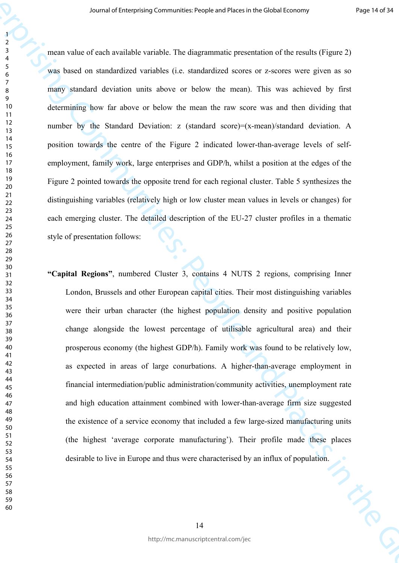Journal of Landerstand Communities: The Global Chinace is the Chinace of Hermannical Chinace (Figure 2)<br>
The Vienter of Enterprising Communities: The Supernmentic protection of the results (Figure 2)<br>
The Viente of Econom mean value of each available variable. The diagrammatic presentation of the results (Figure 2) was based on standardized variables (i.e. standardized scores or z-scores were given as so many standard deviation units above or below the mean). This was achieved by first determining how far above or below the mean the raw score was and then dividing that number by the Standard Deviation: z (standard score)=(x-mean)/standard deviation. A position towards the centre of the Figure 2 indicated lower-than-average levels of selfemployment, family work, large enterprises and GDP/h, whilst a position at the edges of the Figure 2 pointed towards the opposite trend for each regional cluster. Table 5 synthesizes the distinguishing variables (relatively high or low cluster mean values in levels or changes) for each emerging cluster. The detailed description of the EU-27 cluster profiles in a thematic style of presentation follows:

**"Capital Regions"**, numbered Cluster 3, contains 4 NUTS 2 regions, comprising Inner London, Brussels and other European capital cities. Their most distinguishing variables were their urban character (the highest population density and positive population change alongside the lowest percentage of utilisable agricultural area) and their prosperous economy (the highest GDP/h). Family work was found to be relatively low, as expected in areas of large conurbations. A higher-than-average employment in financial intermediation/public administration/community activities, unemployment rate and high education attainment combined with lower-than-average firm size suggested the existence of a service economy that included a few large-sized manufacturing units (the highest 'average corporate manufacturing'). Their profile made these places desirable to live in Europe and thus were characterised by an influx of population.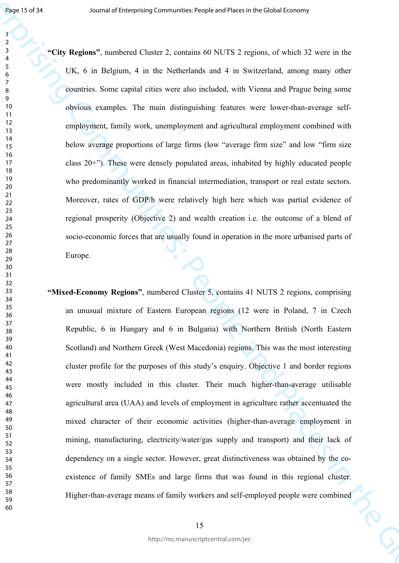**Journal of Communities: Properties:** And these properties of People and the Secondary of the Secondary of the Secondary of the Secondary of the Secondary of the Secondary of the Secondary of the Global Economic Communiti **"City Regions"**, numbered Cluster 2, contains 60 NUTS 2 regions, of which 32 were in the UK, 6 in Belgium, 4 in the Netherlands and 4 in Switzerland, among many other countries. Some capital cities were also included, with Vienna and Prague being some obvious examples. The main distinguishing features were lower-than-average selfemployment, family work, unemployment and agricultural employment combined with below average proportions of large firms (low "average firm size" and low "firm size class 20+"). These were densely populated areas, inhabited by highly educated people who predominantly worked in financial intermediation, transport or real estate sectors. Moreover, rates of GDP/h were relatively high here which was partial evidence of regional prosperity (Objective 2) and wealth creation i.e. the outcome of a blend of socio-economic forces that are usually found in operation in the more urbanised parts of Europe.

**"Mixed-Economy Regions"**, numbered Cluster 5, contains 41 NUTS 2 regions, comprising an unusual mixture of Eastern European regions (12 were in Poland, 7 in Czech Republic, 6 in Hungary and 6 in Bulgaria) with Northern British (North Eastern Scotland) and Northern Greek (West Macedonia) regions. This was the most interesting cluster profile for the purposes of this study's enquiry. Objective 1 and border regions were mostly included in this cluster. Their much higher-than-average utilisable agricultural area (UAA) and levels of employment in agriculture rather accentuated the mixed character of their economic activities (higher-than-average employment in mining, manufacturing, electricity/water/gas supply and transport) and their lack of dependency on a single sector. However, great distinctiveness was obtained by the coexistence of family SMEs and large firms that was found in this regional cluster. Higher-than-average means of family workers and self-employed people were combined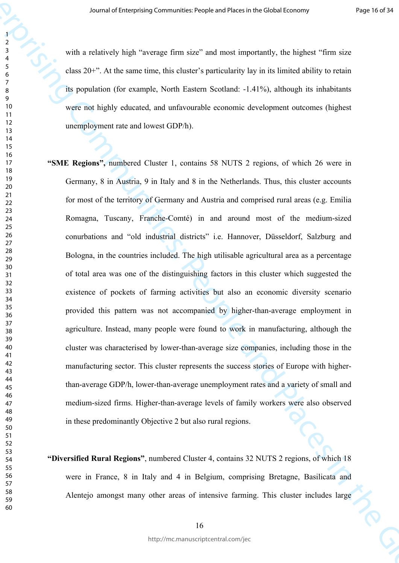with a relatively high "average firm size" and most importantly, the highest "firm size class 20+". At the same time, this cluster's particularity lay in its limited ability to retain its population (for example, North Eastern Scotland: -1.41%), although its inhabitants were not highly educated, and unfavourable economic development outcomes (highest unemployment rate and lowest GDP/h).

- Journal of Laterprising Communities: Proposition Hoster of Polybers in the Spheri Times in the Spheri Communities: People and Places in the Spheri Communities: People and Places in the Spheri Communities: People and Place **"SME Regions",** numbered Cluster 1, contains 58 NUTS 2 regions, of which 26 were in Germany, 8 in Austria, 9 in Italy and 8 in the Netherlands. Thus, this cluster accounts for most of the territory of Germany and Austria and comprised rural areas (e.g. Emilia Romagna, Tuscany, Franche-Comté) in and around most of the medium-sized conurbations and "old industrial districts" i.e. Hannover, Düsseldorf, Salzburg and Bologna, in the countries included. The high utilisable agricultural area as a percentage of total area was one of the distinguishing factors in this cluster which suggested the existence of pockets of farming activities but also an economic diversity scenario provided this pattern was not accompanied by higher-than-average employment in agriculture. Instead, many people were found to work in manufacturing, although the cluster was characterised by lower-than-average size companies, including those in the manufacturing sector. This cluster represents the success stories of Europe with higherthan-average GDP/h, lower-than-average unemployment rates and a variety of small and medium-sized firms. Higher-than-average levels of family workers were also observed in these predominantly Objective 2 but also rural regions.
	- **"Diversified Rural Regions"**, numbered Cluster 4, contains 32 NUTS 2 regions, of which 18 were in France, 8 in Italy and 4 in Belgium, comprising Bretagne, Basilicata and Alentejo amongst many other areas of intensive farming. This cluster includes large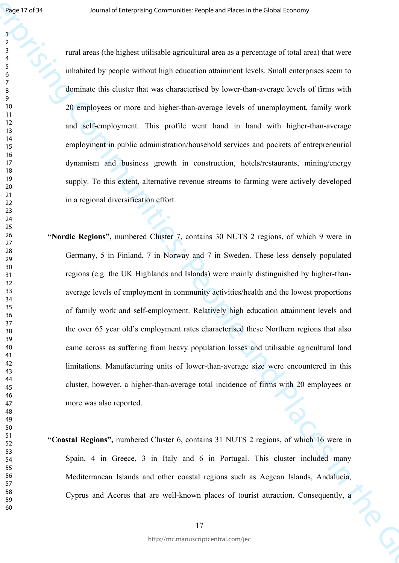rural areas (the highest utilisable agricultural area as a percentage of total area) that were inhabited by people without high education attainment levels. Small enterprises seem to dominate this cluster that was characterised by lower-than-average levels of firms with 20 employees or more and higher-than-average levels of unemployment, family work and self-employment. This profile went hand in hand with higher-than-average employment in public administration/household services and pockets of entrepreneurial dynamism and business growth in construction, hotels/restaurants, mining/energy supply. To this extent, alternative revenue streams to farming were actively developed in a regional diversification effort.

- Jose 17  $\times$  *South of Enterprising Communes* Proposition dense in Best disk association of the Sydney Human of Enterprising Communities: People and Places in the Global Economic South of Places in the Global Economic Sou **"Nordic Regions",** numbered Cluster 7, contains 30 NUTS 2 regions, of which 9 were in Germany, 5 in Finland, 7 in Norway and 7 in Sweden. These less densely populated regions (e.g. the UK Highlands and Islands) were mainly distinguished by higher-thanaverage levels of employment in community activities/health and the lowest proportions of family work and self-employment. Relatively high education attainment levels and the over 65 year old's employment rates characterised these Northern regions that also came across as suffering from heavy population losses and utilisable agricultural land limitations. Manufacturing units of lower-than-average size were encountered in this cluster, however, a higher-than-average total incidence of firms with 20 employees or more was also reported.
	- **"Coastal Regions",** numbered Cluster 6, contains 31 NUTS 2 regions, of which 16 were in Spain, 4 in Greece, 3 in Italy and 6 in Portugal. This cluster included many Mediterranean Islands and other coastal regions such as Aegean Islands, Andalucía, Cyprus and Acores that are well-known places of tourist attraction. Consequently, a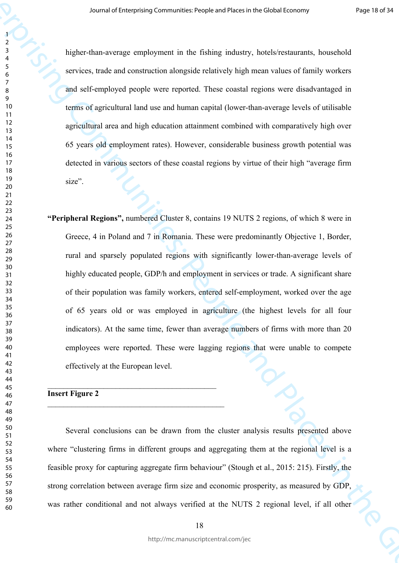higher-than-average employment in the fishing industry, hotels/restaurants, household services, trade and construction alongside relatively high mean values of family workers and self-employed people were reported. These coastal regions were disadvantaged in terms of agricultural land use and human capital (lower-than-average levels of utilisable agricultural area and high education attainment combined with comparatively high over 65 years old employment rates). However, considerable business growth potential was detected in various sectors of these coastal regions by virtue of their high "average firm size".

Journal of Laterprising Communities: Propies and Places in Brackholz Loosing<br>
Journal of Enterprising Communities: The Fisher industry, Post-Severannian, bounded<br>
Version, and and communities include the Global Places in **"Peripheral Regions",** numbered Cluster 8, contains 19 NUTS 2 regions, of which 8 were in Greece, 4 in Poland and 7 in Romania. These were predominantly Objective 1, Border, rural and sparsely populated regions with significantly lower-than-average levels of highly educated people, GDP/h and employment in services or trade. A significant share of their population was family workers, entered self-employment, worked over the age of 65 years old or was employed in agriculture (the highest levels for all four indicators). At the same time, fewer than average numbers of firms with more than 20 employees were reported. These were lagging regions that were unable to compete effectively at the European level.

# **Insert Figure 2**

 $\mathcal{L}_\text{max}$  , and the contract of the contract of the contract of the contract of the contract of the contract of the contract of the contract of the contract of the contract of the contract of the contract of the contr

 $\mathcal{L}_\text{max}$  , and the contract of the contract of the contract of the contract of the contract of the contract of the contract of the contract of the contract of the contract of the contract of the contract of the contr

Several conclusions can be drawn from the cluster analysis results presented above where "clustering firms in different groups and aggregating them at the regional level is a feasible proxy for capturing aggregate firm behaviour" (Stough et al., 2015: 215). Firstly, the strong correlation between average firm size and economic prosperity, as measured by GDP, was rather conditional and not always verified at the NUTS 2 regional level, if all other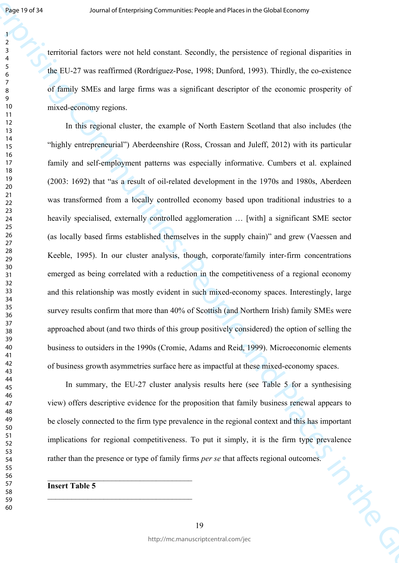territorial factors were not held constant. Secondly, the persistence of regional disparities in the EU-27 was reaffirmed (Rordríguez-Pose, 1998; Dunford, 1993). Thirdly, the co-existence of family SMEs and large firms was a significant descriptor of the economic prosperity of mixed-economy regions.

Journal of Languand Communities: Properties of People's Longitude in the Global Economy<br>
Journal function were not belo constant Secondly, the previous of supporting the Classical Equation in<br>  $\frac{1}{2}$  Apply SMIS, and la In this regional cluster, the example of North Eastern Scotland that also includes (the "highly entrepreneurial") Aberdeenshire (Ross, Crossan and Juleff, 2012) with its particular family and self-employment patterns was especially informative. Cumbers et al. explained (2003: 1692) that "as a result of oil-related development in the 1970s and 1980s, Aberdeen was transformed from a locally controlled economy based upon traditional industries to a heavily specialised, externally controlled agglomeration … [with] a significant SME sector (as locally based firms established themselves in the supply chain)" and grew (Vaessen and Keeble, 1995). In our cluster analysis, though, corporate/family inter-firm concentrations emerged as being correlated with a reduction in the competitiveness of a regional economy and this relationship was mostly evident in such mixed-economy spaces. Interestingly, large survey results confirm that more than 40% of Scottish (and Northern Irish) family SMEs were approached about (and two thirds of this group positively considered) the option of selling the business to outsiders in the 1990s (Cromie, Adams and Reid, 1999). Microeconomic elements of business growth asymmetries surface here as impactful at these mixed-economy spaces.

In summary, the EU-27 cluster analysis results here (see Table 5 for a synthesising view) offers descriptive evidence for the proposition that family business renewal appears to be closely connected to the firm type prevalence in the regional context and this has important implications for regional competitiveness. To put it simply, it is the firm type prevalence rather than the presence or type of family firms *per se* that affects regional outcomes.

**Insert Table 5**

\_\_\_\_\_\_\_\_\_\_\_\_\_\_\_\_\_\_\_\_\_\_\_\_\_\_\_\_\_\_\_\_\_\_\_\_

\_\_\_\_\_\_\_\_\_\_\_\_\_\_\_\_\_\_\_\_\_\_\_\_\_\_\_\_\_\_\_\_\_\_\_\_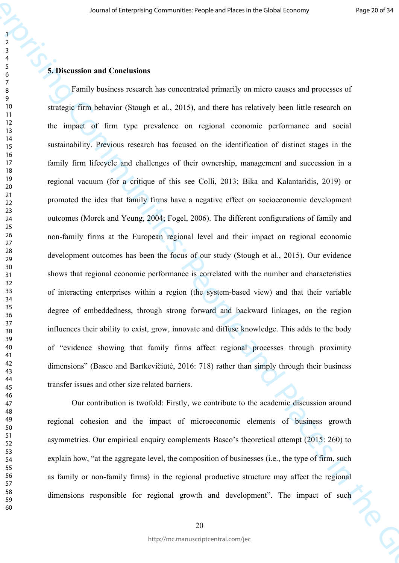# **5. Discussion and Conclusions**

Journal of Laterprising Communicative<br>control of Enterprising Communicative Constraints in the Constraint of Communities: The Communities: People<br>The Communities: People and Constraints Communities (in the Fig. 2015), and Family business research has concentrated primarily on micro causes and processes of strategic firm behavior (Stough et al., 2015), and there has relatively been little research on the impact of firm type prevalence on regional economic performance and social sustainability. Previous research has focused on the identification of distinct stages in the family firm lifecycle and challenges of their ownership, management and succession in a regional vacuum (for a critique of this see Colli, 2013; Bika and Kalantaridis, 2019) or promoted the idea that family firms have a negative effect on socioeconomic development outcomes (Morck and Yeung, 2004; Fogel, 2006). The different configurations of family and non-family firms at the European regional level and their impact on regional economic development outcomes has been the focus of our study (Stough et al., 2015). Our evidence shows that regional economic performance is correlated with the number and characteristics of interacting enterprises within a region (the system-based view) and that their variable degree of embeddedness, through strong forward and backward linkages, on the region influences their ability to exist, grow, innovate and diffuse knowledge. This adds to the body of "evidence showing that family firms affect regional processes through proximity dimensions" (Basco and Bartkevičiūtė, 2016: 718) rather than simply through their business transfer issues and other size related barriers.

Our contribution is twofold: Firstly, we contribute to the academic discussion around regional cohesion and the impact of microeconomic elements of business growth asymmetries. Our empirical enquiry complements Basco's theoretical attempt (2015: 260) to explain how, "at the aggregate level, the composition of businesses (i.e., the type of firm, such as family or non-family firms) in the regional productive structure may affect the regional dimensions responsible for regional growth and development". The impact of such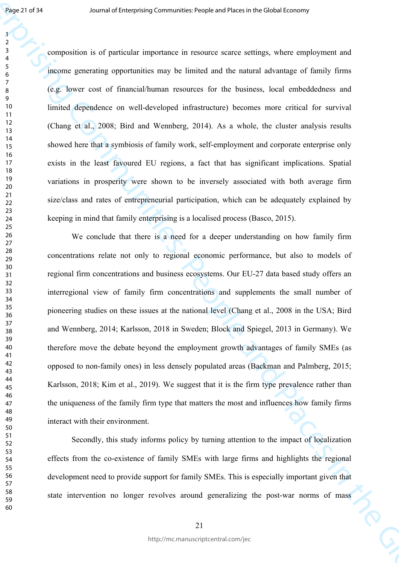composition is of particular importance in resource scarce settings, where employment and income generating opportunities may be limited and the natural advantage of family firms (e.g. lower cost of financial/human resources for the business, local embeddedness and limited dependence on well-developed infrastructure) becomes more critical for survival (Chang et al., 2008; Bird and Wennberg, 2014). As a whole, the cluster analysis results showed here that a symbiosis of family work, self-employment and corporate enterprise only exists in the least favoured EU regions, a fact that has significant implications. Spatial variations in prosperity were shown to be inversely associated with both average firm size/class and rates of entrepreneurial participation, which can be adequately explained by keeping in mind that family enterprising is a localised process (Basco, 2015).

Joys 2 2931 Source of the strength Communities: People and Hasta reflectively where employment and<br>  $\frac{1}{2}$  Source communities in the Figure and Places in the Global Economy communities: People and Places in the Global We conclude that there is a need for a deeper understanding on how family firm concentrations relate not only to regional economic performance, but also to models of regional firm concentrations and business ecosystems. Our EU-27 data based study offers an interregional view of family firm concentrations and supplements the small number of pioneering studies on these issues at the national level (Chang et al., 2008 in the USA; Bird and Wennberg, 2014; Karlsson, 2018 in Sweden; Block and Spiegel, 2013 in Germany). We therefore move the debate beyond the employment growth advantages of family SMEs (as opposed to non-family ones) in less densely populated areas (Backman and Palmberg, 2015; Karlsson, 2018; Kim et al., 2019). We suggest that it is the firm type prevalence rather than the uniqueness of the family firm type that matters the most and influences how family firms interact with their environment.

Secondly, this study informs policy by turning attention to the impact of localization effects from the co-existence of family SMEs with large firms and highlights the regional development need to provide support for family SMEs. This is especially important given that state intervention no longer revolves around generalizing the post-war norms of mass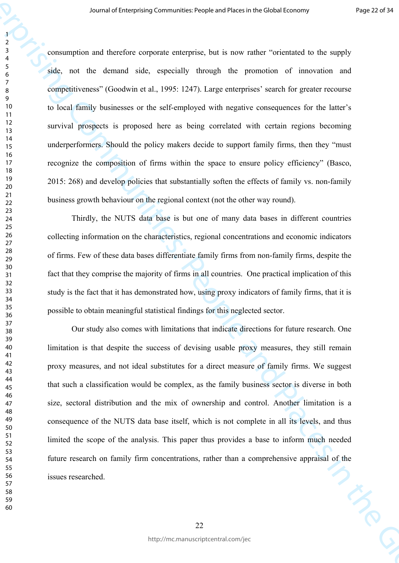*Some* of Lengthers Communicativese in the new miles in the Global Control<br>
2.4 Communities and showed also, ampedia enterprising the promotion of the enterprising and<br>
4.4 Communities: The democratic enterprising the pro consumption and therefore corporate enterprise, but is now rather "orientated to the supply side, not the demand side, especially through the promotion of innovation and competitiveness" (Goodwin et al., 1995: 1247). Large enterprises' search for greater recourse to local family businesses or the self-employed with negative consequences for the latter's survival prospects is proposed here as being correlated with certain regions becoming underperformers. Should the policy makers decide to support family firms, then they "must recognize the composition of firms within the space to ensure policy efficiency" (Basco, 2015: 268) and develop policies that substantially soften the effects of family vs. non-family business growth behaviour on the regional context (not the other way round).

Thirdly, the NUTS data base is but one of many data bases in different countries collecting information on the characteristics, regional concentrations and economic indicators of firms. Few of these data bases differentiate family firms from non-family firms, despite the fact that they comprise the majority of firms in all countries. One practical implication of this study is the fact that it has demonstrated how, using proxy indicators of family firms, that it is possible to obtain meaningful statistical findings for this neglected sector.

Our study also comes with limitations that indicate directions for future research. One limitation is that despite the success of devising usable proxy measures, they still remain proxy measures, and not ideal substitutes for a direct measure of family firms. We suggest that such a classification would be complex, as the family business sector is diverse in both size, sectoral distribution and the mix of ownership and control. Another limitation is a consequence of the NUTS data base itself, which is not complete in all its levels, and thus limited the scope of the analysis. This paper thus provides a base to inform much needed future research on family firm concentrations, rather than a comprehensive appraisal of the<br>issues researched. issues researched.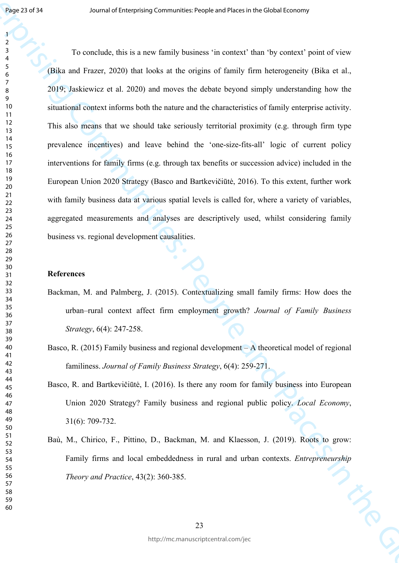**Joy 2177**<br>
Journal of Enterprising Communities: Properties the content that is possible also correspondent<br>
Journal of Enterprising Communities in content that by content their description of Eq. (19)<br>
To conclude, this To conclude, this is a new family business 'in context' than 'by context' point of view (Bika and Frazer, 2020) that looks at the origins of family firm heterogeneity (Bika et al., 2019; Jaskiewicz et al. 2020) and moves the debate beyond simply understanding how the situational context informs both the nature and the characteristics of family enterprise activity. This also means that we should take seriously territorial proximity (e.g. through firm type prevalence incentives) and leave behind the 'one-size-fits-all' logic of current policy interventions for family firms (e.g. through tax benefits or succession advice) included in the European Union 2020 Strategy (Basco and Bartkevičiūtė, 2016). To this extent, further work with family business data at various spatial levels is called for, where a variety of variables, aggregated measurements and analyses are descriptively used, whilst considering family business vs. regional development causalities.

### **References**

- Backman, M. and Palmberg, J. (2015). Contextualizing small family firms: How does the urban–rural context affect firm employment growth? *Journal of Family Business Strategy*, 6(4): 247-258.
- Basco, R. (2015) Family business and regional development A theoretical model of regional familiness. *Journal of Family Business Strategy*, 6(4): 259-271.
- Basco, R. and Bartkevičiūtė, I. (2016). Is there any room for family business into European Union 2020 Strategy? Family business and regional public policy. *Local Economy*, 31(6): 709-732.
- Baù, M., Chirico, F., Pittino, D., Backman, M. and Klaesson, J. (2019). Roots to grow: Family firms and local embeddedness in rural and urban contexts. *Entrepreneurship Theory and Practice*, 43(2): 360-385.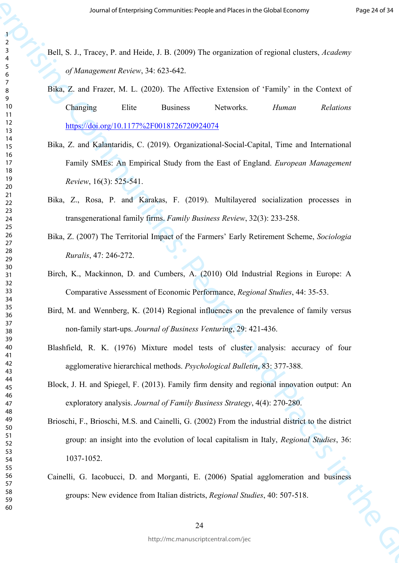- Bell, S. J., Tracey, P. and Heide, J. B. (2009) The organization of regional clusters, *Academy of Management Review*, 34: 623-642.
	- Bika, Z. and Frazer, M. L. (2020). The Affective Extension of 'Family' in the Context of Changing Elite Business Networks. *Human Relations*  https://doi.org/10.1177%2F0018726720924074
	- Bika, Z. and Kalantaridis, C. (2019). Organizational-Social-Capital, Time and International Family SMEs: An Empirical Study from the East of England. *European Management Review*, 16(3): 525-541.
	- Bika, Z., Rosa, P. and Karakas, F. (2019). Multilayered socialization processes in transgenerational family firms. *Family Business Review*, 32(3): 233-258.
- Bika, Z. (2007) The Territorial Impact of the Farmers' Early Retirement Scheme, *Sociologia Ruralis*, 47: 246-272.
- Birch, K., Mackinnon, D. and Cumbers, A. (2010) Old Industrial Regions in Europe: A Comparative Assessment of Economic Performance, *Regional Studies*, 44: 35-53.
- Bird, M. and Wennberg, K. (2014) Regional influences on the prevalence of family versus non-family start-ups. *Journal of Business Venturing*, 29: 421-436.
- Blashfield, R. K. (1976) Mixture model tests of cluster analysis: accuracy of four agglomerative hierarchical methods. *Psychological Bulletin*, 83: 377-388.
- Block, J. H. and Spiegel, F. (2013). Family firm density and regional innovation output: An exploratory analysis. *Journal of Family Business Strategy*, 4(4): 270-280.
- *Frame of Language [Co](https://doi.org/10.1177%2F0018726720924074)mmunes: Properties*<br>
Journal of Enterprising Communities: Peo[ple](javascript:__doLinkPostBack() and Places in the Global Economy *Actions*<br>  $\frac{1}{2}$  One of Scheme and Places in the Global Economy *Memasure of Communities*<br>
(SMG) E Brioschi, F., Brioschi, M.S. and Cainelli, G. (2002) From the industrial district to the district group: an insight into the evolution of local capitalism in Italy, *Regional Studies*, 36: 1037-1052.
	- Cainelli, G. Iacobucci, D. and Morganti, E. (2006) Spatial agglomeration and business groups: New evidence from Italian districts, *Regional Studies*, 40: 507-518.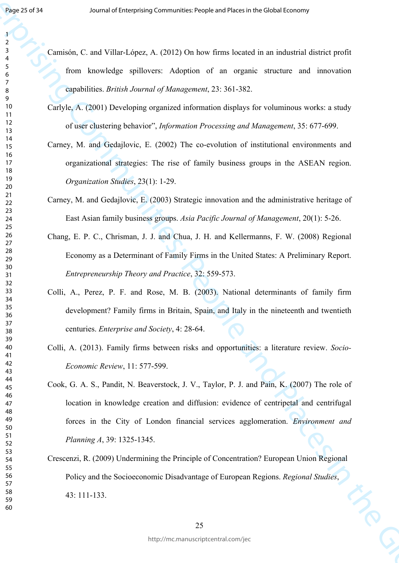- Camisón, C. and Villar-López, A. (2012) On how firms located in an industrial district profit from knowledge spillovers: Adoption of an organic structure and innovation capabilities. *British Journal of Management*, 23: 361-382.
- Carlyle, A. (2001) Developing organized information displays for voluminous works: a study of user clustering behavior", *Information Processing and Management*, 35: 677-699.
- Carney, M. and Gedajlovic, E. (2002) The co-evolution of institutional environments and organizational strategies: The rise of family business groups in the ASEAN region. *Organization Studies*, 23(1): 1-29.
- Carney, M. and Gedajlovic, E. (2003) Strategic innovation and the administrative heritage of East Asian family business groups. *Asia Pacific Journal of Management*, 20(1): 5-26.
- Chang, E. P. C., Chrisman, J. J. and Chua, J. H. and Kellermanns, F. W. (2008) Regional Economy as a Determinant of Family Firms in the United States: A Preliminary Report. *Entrepreneurship Theory and Practice*, 32: 559-573.
- Colli, A., Perez, P. F. and Rose, M. B. (2003). National determinants of family firm development? Family firms in Britain, Spain, and Italy in the nineteenth and twentieth centuries. *Enterprise and Society*, 4: 28-64.
- Colli, A. (2013). Family firms between risks and opportunities: a literature review. *Socio-Economic Review*, 11: 577-599.
- **Experimental of Enterprising Communities:** Properties in Piechels Lossony<br>
Journal of Cambridge spillences: Adaption of an organic antenna and Forecastic function<br>  $\frac{1}{2}$  Cambridge spillences: Adaption of an organic d Cook, G. A. S., Pandit, N. Beaverstock, J. V., Taylor, P. J. and Pain, K. (2007) The role of location in knowledge creation and diffusion: evidence of centripetal and centrifugal forces in the City of London financial services agglomeration. *Environment and Planning A*, 39: 1325-1345.
	- Crescenzi, R. (2009) Undermining the Principle of Concentration? European Union Regional Policy and the Socioeconomic Disadvantage of European Regions. *Regional Studies*, 43: 111-133.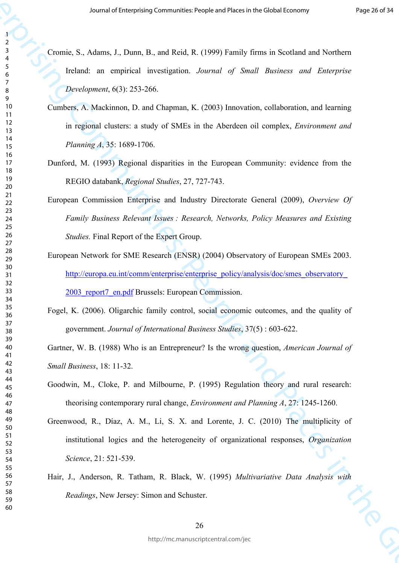- Cromie, S., Adams, J., Dunn, B., and Reid, R. (1999) Family firms in Scotland and Northern Ireland: an empirical investigation. *Journal of Small Business and Enterprise Development*, 6(3): 253-266.
- Cumbers, A. Mackinnon, D. and Chapman, K. (2003) Innovation, collaboration, and learning in regional clusters: a study of SMEs in the Aberdeen oil complex, *Environment and Planning A*, 35: 1689-1706.
- Dunford, M. (1993) Regional disparities in the European Community: evidence from the REGIO databank, *Regional Studies*, 27, 727-743.
- Journal of Laterprising Communicate Prophetics in the Global Lossen of Projection (1988)<br>
The Second of Enterprising P. Journal R. (1998) Pamily firms in Scalinal and Northern<br>
The Hard Communities: A Machinen D. and Proj European Commission Enterprise and Industry Directorate General (2009), *Overview Of Family Business Relevant Issues : Research, Networks, Policy Measures and Existing Studies.* Final Report of the Expert Group.
	- European Network for SME Research (ENSR) (2004) Observatory of European SMEs 2003. http://europa.eu.int/comm/enterprise/enterprise\_policy/analysis/doc/smes\_observatory 2003 report7 en.pdf Brussels: European Commission.
	- Fogel, K. (2006). Oligarchic family control, social economic outcomes, and the quality of government. *Journal of International Business Studies*, 37(5) : 603-622.

Gartner, W. B. (1988) Who is an Entrepreneur? Is the wrong question, *American Journal of Small Business*, 18: 11-32.

- Goodwin, M., Cloke, P. and Milbourne, P. (1995) Regulation theory and rural research: theorising contemporary rural change, *Environment and Planning A*, 27: 1245-1260.
- Greenwood, R., Díaz, A. M., Li, S. X. and Lorente, J. C. (2010) The multiplicity of institutional logics and the heterogeneity of organizational responses, *Organization Science*, 21: 521-539.
- Hair, J., Anderson, R. Tatham, R. Black, W. (1995) *Multivariative Data Analysis with Readings*, New Jersey: Simon and Schuster.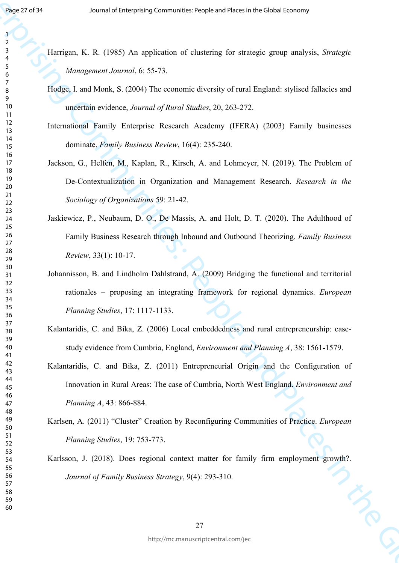- Harrigan, K. R. (1985) An application of clustering for strategic group analysis, *Strategic Management Journal*, 6: 55-73.
- Hodge, I. and Monk, S. (2004) The economic diversity of rural England: stylised fallacies and uncertain evidence, *Journal of Rural Studies*, 20, 263-272.
- International Family Enterprise Research Academy (IFERA) (2003) Family businesses dominate. *Family Business Review*, 16(4): 235-240.
- **From F. Eq. (1985)**<br>
Journal of Enterprises Communicatives for similarly for similarly spany analysis, Sympach<br>
Journal of Enterprises, Alarmah, 6: 56-75<br>
The Songannest Assemble 2001 The Songary of the Global Economy of Jackson, G., Helfen, M., Kaplan, R., Kirsch, A. and Lohmeyer, N. (2019). The Problem of De-Contextualization in Organization and Management Research. *Research in the Sociology of Organizations* 59: 21-42.
	- Jaskiewicz, P., Neubaum, D. O., De Massis, A. and Holt, D. T. (2020). The Adulthood of Family Business Research through Inbound and Outbound Theorizing. *Family Business Review*, 33(1): 10-17.
	- Johannisson, B. and Lindholm Dahlstrand, A. (2009) Bridging the functional and territorial rationales – proposing an integrating framework for regional dynamics. *European Planning Studies*, 17: 1117-1133.
	- Kalantaridis, C. and Bika, Z. (2006) Local embeddedness and rural entrepreneurship: casestudy evidence from Cumbria, England, *Environment and Planning A*, 38: 1561-1579.
	- Kalantaridis, C. and Bika, Z. (2011) Entrepreneurial Origin and the Configuration of Innovation in Rural Areas: The case of Cumbria, North West England. *Environment and Planning A*, 43: 866-884.
	- Karlsen, A. (2011) "Cluster" Creation by Reconfiguring Communities of Practice. *European Planning Studies*, 19: 753-773.
	- Karlsson, J. (2018). Does regional context matter for family firm employment growth?. *Journal of Family Business Strategy*, 9(4): 293-310.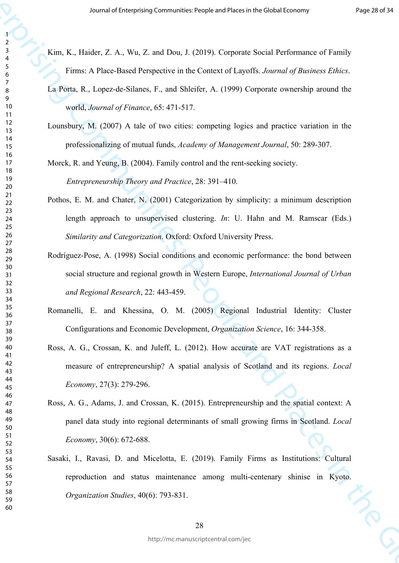- Kim, K., Haider, Z. A., Wu, Z. and Dou, J. (2019). Corporate Social Performance of Family Firms: A Place-Based Perspective in the Context of Layoffs. *Journal of Business Ethics*.
- La Porta, R., Lopez-de-Silanes, F., and Shleifer, A. (1999) Corporate ownership around the world, *Journal of Finance*, 65: 471-517.
- Lounsbury, M. (2007) A tale of two cities: competing logics and practice variation in the professionalizing of mutual funds, *Academy of Management Journal*, 50: 289-307.

Morck, R. and Yeung, B. (2004). Family control and the rent-seeking society.

*Entrepreneurship Theory and Practice*, 28: 391–410.

- Pothos, E. M. and Chater, N. (2001) Categorization by simplicity: a minimum description length approach to unsupervised clustering. *In*: U. Hahn and M. Ramscar (Eds.) *Similarity and Categorization*. Oxford: Oxford University Press.
- Journal of Laterprising Communities: Proportion Hoster of Portland Communities: People and Places in the Compatibility Companies of Figure 1974.<br>
The Referred A Place Resolution F, F, and Referred and Place and Place in t Rodríguez-Pose, A. (1998) Social conditions and economic performance: the bond between social structure and regional growth in Western Europe, *International Journal of Urban and Regional Research*, 22: 443-459.
	- Romanelli, E. and Khessina, O. M. (2005) Regional Industrial Identity: Cluster Configurations and Economic Development, *Organization Science*, 16: 344-358.
	- Ross, A. G., Crossan, K. and Juleff, L. (2012). How accurate are VAT registrations as a measure of entrepreneurship? A spatial analysis of Scotland and its regions. *Local Economy*, 27(3): 279-296.
	- Ross, A. G., Adams, J. and Crossan, K. (2015). Entrepreneurship and the spatial context: A panel data study into regional determinants of small growing firms in Scotland. *Local Economy*, 30(6): 672-688.
	- Sasaki, I., Ravasi, D. and Micelotta, E. (2019). Family Firms as Institutions: Cultural reproduction and status maintenance among multi-centenary shinise in Kyoto. *Organization Studies*, 40(6): 793-831.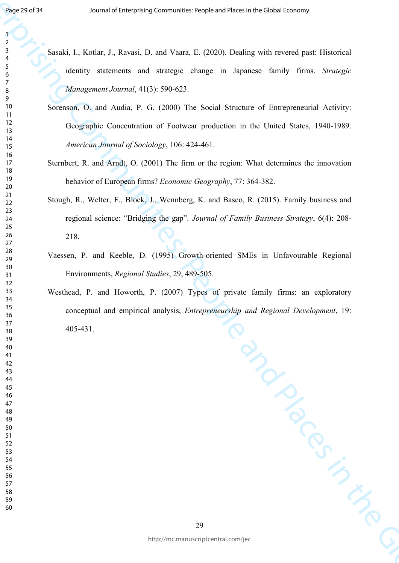- Sasaki, I., Kotlar, J., Ravasi, D. and Vaara, E. (2020). Dealing with revered past: Historical identity statements and strategic change in Japanese family firms. *Strategic Management Journal*, 41(3): 590-623.
- Sorenson, O. and Audia, P. G. (2000) The Social Structure of Entrepreneurial Activity: Geographic Concentration of Footwear production in the United States, 1940-1989. *American Journal of Sociology*, 106: 424-461.
- Sternbert, R. and Arndt, O. (2001) The firm or the region: What determines the innovation behavior of European firms? *Economic Geography*, 77: 364-382.
- Stough, R., Welter, F., Block, J., Wennberg, K. and Basco, R. (2015). Family business and regional science: "Bridging the gap". *Journal of Family Business Strategy*, 6(4): 208- 218.
- Vaessen, P. and Keeble, D. (1995) Growth-oriented SMEs in Unfavourable Regional Environments, *Regional Studies*, 29, 489-505.
- Journal of Linder, Enterprising Communities: Properties of People's increase that the Statistical Statistics of Enterprise and Places in the Statistics of Enterprise and Places in the Global Economy of Enterprise and Plac Westhead, P. and Howorth, P. (2007) Types of private family firms: an exploratory<br>conceptual and empirical analysis, Entrepreneurship and Regional Development, 19:<br>405-431. conceptual and empirical analysis, *Entrepreneurship and Regional Development*, 19: 405-431.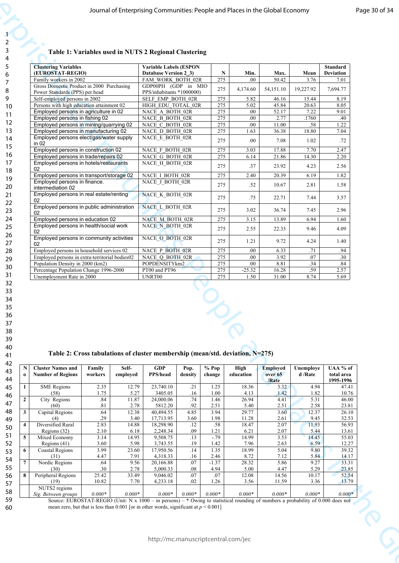# **Table 1: Variables used in NUTS 2 Regional Clustering**

|                                                                                                                               | <b>Clustering Variables</b><br>(EUROSTAT-REGIO)<br>Family workers in 2002                         |                      |                                    | Table 1: Variables used in NUTS 2 Regional Clustering<br><b>Variable Labels (ESPON</b><br><b>Database Version 2_3)</b> |                                |                               | Min.                   | Max.                                | Mean                  | Standard<br><b>Deviation</b>        |
|-------------------------------------------------------------------------------------------------------------------------------|---------------------------------------------------------------------------------------------------|----------------------|------------------------------------|------------------------------------------------------------------------------------------------------------------------|--------------------------------|-------------------------------|------------------------|-------------------------------------|-----------------------|-------------------------------------|
|                                                                                                                               | Gross Domestic Product in 2000 Purchasing<br>Power Standards (PPS) per head                       |                      |                                    | FAM_WORK_BOTH_02R<br>GDP00PH (GDP in MIO<br>PPS/inhabitants *1000000)                                                  |                                |                               | .00.<br>4,174.60       | 50.42<br>54,151.10                  | 3.76<br>19,227.92     | 7.01<br>7,694.77                    |
|                                                                                                                               | Self-employed persons in 2002<br>Persons with high education attainment 02                        |                      |                                    | SELF EMP BOTH 02R<br>HIGH EDU_TOTAL_02R                                                                                |                                | 275<br>275                    | 5.82<br>5.02           | 46.16<br>45.84                      | 15.44<br>20.63        | 8.19<br>8.05                        |
| Employed persons in agriculture in 02<br>Employed persons in fishing 02<br>Employed persons in mining/quarrying 02            |                                                                                                   |                      | NACE A BOTH 02R<br>NACE_B_BOTH_02R |                                                                                                                        | 275<br>275<br>275              | .00.<br>.00<br>.00.           | 52.17<br>2.77<br>11.00 | 7.22<br>.1760<br>.58                | 9.01<br>.40<br>1.22   |                                     |
|                                                                                                                               | Employed persons in manufacturing 02<br>Employed persons elect/gas/water supply                   |                      |                                    | NACE_C_BOTH_02R<br>275<br>NACE_D_BOTH_02R<br>NACE_E_BOTH_02R<br>275                                                    |                                |                               | 1.63<br>.00.           | 36.38<br>7.08                       | 18.80<br>1.02         | 7.04<br>.72                         |
|                                                                                                                               | in $02$<br>Employed persons in construction 02<br>Employed persons in trade/repairs 02            |                      |                                    | NACE_F_BOTH_02R<br>NACE G BOTH 02R                                                                                     |                                |                               | 3.03<br>6.14           | 17.88<br>21.86                      | 7.70<br>14.30         | 2.47<br>2.20                        |
|                                                                                                                               | Employed persons in hotels/restaurants<br>02<br>Employed persons in transport/storage 02          |                      |                                    | NACE_H_BOTH_02R                                                                                                        |                                |                               | .37<br>2.40            | 23.92<br>20.39                      | 4.23                  | 2.56<br>1.82                        |
|                                                                                                                               | Employed persons in finance.<br>intermediation 02                                                 |                      |                                    | NACE I_BOTH_02R<br>NACE J BOTH 02R                                                                                     |                                |                               | $.52\,$                | 10.67                               | 6.19<br>2.81          | 1.58                                |
|                                                                                                                               | Employed persons in real estate/renting<br>02<br>Employed persons in public administration        |                      |                                    | NACE K_BOTH_02R<br>NACE_L_BOTH_02R                                                                                     |                                |                               | .75                    | 22.71                               | 7.44                  | 3.57                                |
|                                                                                                                               | 02<br>Employed persons in education 02                                                            |                      |                                    | NACE M BOTH 02R                                                                                                        |                                | 275<br>275                    | 3.02<br>3.15           | 36.74<br>13.89                      | 7.45<br>6.94          | 2.96<br>1.60                        |
|                                                                                                                               | Employed persons in health/social work<br>02<br>Employed persons in community activities          |                      |                                    | NACE N BOTH 02R<br>NACE O_BOTH_02R                                                                                     |                                | 275<br>275                    | 2.55<br>1.21           | 22.33<br>9.72                       | 9.46<br>4.24          | 4.09<br>1.40                        |
|                                                                                                                               | 02<br>Employed persons in household services 02<br>Employed persons in extra-territorial bodies02 |                      |                                    | NACE P BOTH 02R<br>NACE Q BOTH 02R                                                                                     |                                |                               | .00<br>.00.            | 6.33<br>3.92                        | .71<br>.07            | .94<br>.30                          |
|                                                                                                                               | Population Density in 2000 (km2)<br>Percentage Population Change 1996-2000                        |                      |                                    | POPDENSITYkm2<br>PT00 and PT96                                                                                         |                                | 275<br>275                    | .00<br>$-25.32$        | 8.81<br>16.28                       | .34<br>.59            | .84                                 |
|                                                                                                                               | Unemployment Rate in 2000                                                                         |                      |                                    | UNRT00                                                                                                                 |                                | 275<br>275<br>$\breve{\circ}$ | 1.50                   | 31.00                               | 8.74                  | 2.57<br>5.69                        |
|                                                                                                                               |                                                                                                   |                      |                                    | Table 2: Cross tabulations of cluster membership (mean/std. deviation, N=275)                                          |                                |                               |                        |                                     |                       |                                     |
|                                                                                                                               | <b>Cluster Names and</b><br><b>Number of Regions</b>                                              | Family<br>workers    | Self-<br>employed                  | <b>GDP</b><br>PPS/head                                                                                                 | Pop.<br>density                | % Pop<br>change               | High<br>education      | <b>Employed</b><br>over 65<br>/Rate | Unemploye<br>d /Rate  | UAA % of<br>total area<br>1995-1996 |
|                                                                                                                               | <b>SME</b> Regions<br>(58)<br>City Regions                                                        | 2.35<br>1.75<br>.84  | 12.79<br>5.27<br>11.87             | 23,740.10<br>3405.05<br>24,000.06                                                                                      | .21<br>.16<br>.74              | 1.25<br>1.00<br>1.46          | 18.36<br>4.13<br>26.94 | 3.32<br>1.42<br>4.41                | 4.94<br>1.82<br>5.31  | 47.41<br>10.76<br>46.00             |
|                                                                                                                               | (60)<br>Capital Regions<br>(4)                                                                    | .81<br>.64<br>.29    | 2.78<br>12.38<br>3.40              | 5812.20<br>40,494.55<br>17,713.95                                                                                      | .92<br>4.85<br>3.60            | 2.51<br>3.94<br>1.98          | 5.40<br>29.77<br>11.28 | 2.51<br>3.60<br>2.61                | 2.58<br>12.37<br>9.45 | 23.81<br>26.10<br>32.53             |
|                                                                                                                               | Diversified Rural<br>Regions $(32)$                                                               | 2.83<br>2.10         | 14.88<br>6.18                      | 18,298.90<br>2,248.34                                                                                                  | .12<br>.09                     | .58<br>1.21                   | 18.47<br>6.21          | 2.07<br>2.07                        | 11.93<br>5.44         | 56.93<br>13.61                      |
|                                                                                                                               | Mixed Economy<br>Regions $(41)$<br>Coastal Regions                                                | 3.14<br>3.60<br>3.99 | 14.95<br>5.98<br>23.60             | 9,508.75<br>3,743.55<br>17,950.56                                                                                      | $\overline{.13}$<br>.19<br>.14 | $-0.79$<br>1.42<br>1.35       | 14.99<br>7.96<br>18.99 | 3.53<br>2.63<br>5.04                | 14.45<br>6.59<br>9.80 | 55.03<br>12.27<br>39.32             |
| $\mathbf{N}$<br>$\bf{0}$<br>$\overline{2}$<br>$\mathbf{3}$<br>$\boldsymbol{\Lambda}$<br>$\overline{5}$<br>6<br>$\overline{7}$ | (31)<br>Nordic Regions<br>(30)                                                                    | 4.47<br>.64<br>.30   | 7.91<br>9.56<br>2.78               | 4,318.33<br>20,166.88<br>5,000.33                                                                                      | .16<br>.07<br>.08              | 2.46<br>$-1.37$<br>4.94       | 8.72<br>28.32<br>5.00  | 7.12<br>5.86<br>4.47                | 5.84<br>9.27<br>5.29  | 14.17<br>33.31<br>23.85             |
| 8                                                                                                                             | Peripheral Regions<br>(19)<br>NUTS2 regions                                                       | 25.42<br>10.82       | 33.49<br>7.70                      | 9,046.02<br>4,233.18                                                                                                   | .07<br>.02                     | .07<br>1.26                   | 12.08<br>3.56          | 14.56<br>11.59                      | 10.17<br>3.36         | 52.54<br>13.79                      |

**Table 2: Cross tabulations of cluster membership (mean/std. deviation, N=275)**

| N            | <b>Cluster Names and</b> | Family   | Self-    | <b>GDP</b>      | Pop.     | % Pop    | High      | <b>Employed</b> | Unemploye | UAA % of   |
|--------------|--------------------------|----------|----------|-----------------|----------|----------|-----------|-----------------|-----------|------------|
| $\bf{0}$     | <b>Number of Regions</b> | workers  | employed | <b>PPS/head</b> | density  | change   | education | over 65         | d /Rate   | total area |
|              |                          |          |          |                 |          |          |           | /Rate           |           | 1995-1996  |
| $\mathbf{1}$ | <b>SME</b> Regions       | 2.35     | 12.79    | 23,740.10       | .21      | 1.25     | 18.36     | 3.32            | 4.94      | 47.41      |
|              | (58)                     | 1.75     | 5.27     | 3405.05         | .16      | 1.00     | 4.13      | 1.42            | 1.82      | 10.76      |
| $\mathbf{2}$ | City Regions             | .84      | 11.87    | 24,000.06       | .74      | 1.46     | 26.94     | 4.41            | 5.31      | 46.00      |
|              | (60)                     | .81      | 2.78     | 5812.20         | .92      | 2.51     | 5.40      | 2.51            | 2.58      | 23.81      |
| 3            | Capital Regions          | .64      | 12.38    | 40.494.55       | 4.85     | 3.94     | 29.77     | 3.60            | 12.37     | 26.10      |
|              | (4)                      | .29      | 3.40     | 17,713.95       | 3.60     | 1.98     | 11.28     | 2.61            | 9.45      | 32.53      |
| 4            | Diversified Rural        | 2.83     | 14.88    | 18,298.90       | .12      | .58      | 18.47     | 2.07            | 11.93     | 56.93      |
|              | Regions (32)             | 2.10     | 6.18     | 2,248.34        | .09      | 1.21     | 6.21      | 2.07            | 5.44      | 13.61      |
| 5            | Mixed Economy            | 3.14     | 14.95    | 9,508.75        | .13      | $-.79$   | 14.99     | 3.53            | 14.45     | 55.03      |
|              | Regions (41)             | 3.60     | 5.98     | 3,743.55        | .19      | 1.42     | 7.96      | 2.63            | 6.59      | 12.27      |
| 6            | <b>Coastal Regions</b>   | 3.99     | 23.60    | 17,950.56       | .14      | 1.35     | 18.99     | 5.04            | 9.80      | 39.32      |
|              | (31)                     | 4.47     | 7.91     | 4,318.33        | .16      | 2.46     | 8.72      | 7.12            | 5.84      | 14.17      |
| 7            | Nordic Regions           | .64      | 9.56     | 20,166.88       | .07      | $-1.37$  | 28.32     | 5.86            | 9.27      | 33.31      |
|              | (30)                     | .30      | 2.78     | 5,000.33        | .08      | 4.94     | 5.00      | 4.47            | 5.29      | 23.85      |
| 8            | Peripheral Regions       | 25.42    | 33.49    | 9,046.02        | .07      | .07      | 12.08     | 14.56           | 10.17     | 52.54      |
|              | (19)                     | 10.82    | 7.70     | 4,233.18        | .02      | 1.26     | 3.56      | 11.59           | 3.36      | 13.79      |
|              | NUTS2 regions            |          |          |                 |          |          |           |                 |           |            |
|              | Sig. Between groups      | $0.000*$ | $0.000*$ | $0.000*$        | $0.000*$ | $0.000*$ | $0.000*$  | $0.000*$        | $0.000*$  | $0.000*$   |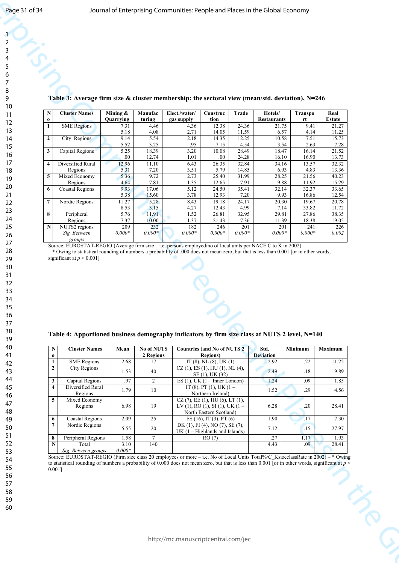| <b>Cluster Names</b><br>Hotels/<br>Mining &<br>Manufac<br>Elect./water/<br>Trade<br>Real<br>N<br>Construc<br>Transpo<br>Quarrying<br>turing<br>tion<br><b>Restaurants</b><br>Estate<br>$\mathbf 0$<br>gas supply<br>rt<br><b>SME</b> Regions<br>4.46<br>4.36<br>12.38<br>24.36<br>9.41<br>21.27<br>21.75<br>$\mathbf{1}$<br>7.31<br>5.18<br>2.71<br>14.05<br>6.57<br>4.08<br>11.59<br>4.14<br>11.25<br>5.54<br>9.14<br>14.35<br>12.25<br>7.51<br>15.73<br>$\overline{\mathbf{2}}$<br>2.18<br>10.58<br>City Regions<br>7.28<br>5.52<br>3.25<br>.95<br>7.15<br>4.54<br>2.63<br>3.54<br>21.52<br>5.25<br>18.39<br>3.20<br>28.49<br>16.14<br>3 <sup>1</sup><br>Capital Regions<br>10.08<br>18.47<br>$.00\,$<br>24.28<br>16.90<br>13.73<br>12.74<br>1.01<br>.00.<br>16.10<br>32.84<br>32.32<br>12.96<br>6.43<br>26.35<br>34.16<br>13.57<br>$\vert 4 \vert$<br>Diversified Rural<br>11.10<br>5.79<br>4.83<br>13.36<br>Regions<br>5.31<br>7.20<br>3.51<br>14.85<br>6.93<br>5 <sup>1</sup><br>5.36<br>9.72<br>2.73<br>31.99<br>21.56<br>40.23<br>25.40<br>28.25<br>Mixed Economy<br>1.35<br>4.64<br>7.81<br>12.65<br>7.91<br>9.88<br>11.92<br>15.29<br>Regions<br>32.37<br>9.93<br>35.41<br>33.65<br>6<br>17.06<br>5.12<br>24.50<br><b>Coastal Regions</b><br>32.14<br>5.38<br>3.78<br>15.60<br>12.93<br>7.20<br>9.93<br>16.86<br>12.54<br>8.43<br>24.17<br>19.67<br>20.78<br>$7\phantom{.0}$<br>Nordic Regions<br>11.27<br>5.28<br>19.18<br>20.30<br>4.27<br>12.43<br>33.82<br>8.53<br>4.99<br>11.72<br>3.15<br>7.14<br>1.52<br>32.95<br>$\vert 8 \vert$<br>5.76<br>11.91<br>26.81<br>27.86<br>38.35<br>Peripheral<br>29.81<br>7.37<br>10.00<br>1.37<br>21.43<br>19.05<br>Regions<br>7.36<br>11.39<br>18.38<br>$\overline{209}$<br>$\overline{\mathbf{N}}$<br>NUTS2 regions<br>232<br>182<br>226<br>246<br>201<br>241<br>201<br>$0.000*$<br>$0.000\,{*}$<br>$0.000*$<br>$0.000*$<br>$0.000*$<br>$0.000*$<br>$0.000*$<br>0.002<br>Sig. Between<br>groups<br>Source: EUROSTAT-REGIO (Average firm size - i.e. persons employed/no of local units per NACE C to K in 2002)<br>$-$ * Owing to statistical rounding of numbers a probability of .000 does not mean zero, but that is less than 0.001 [or in other words,<br>significant at $p < 0.001$ ]<br>800<br>Table 4: Apportioned business demography indicators by firm size class at NUTS 2 level, N=140<br>$\overline{\mathbf{N}}$<br><b>Cluster Names</b><br>Mean<br>No of NUTS<br><b>Countries (and No of NUTS 2)</b><br>Std.<br>Minimum<br>Maximum<br><b>Deviation</b><br>2 Regions<br>Regions)<br>$\mathbf{0}$<br><b>SME</b> Regions<br>2.68<br>.22<br>11.22<br>$\mathbf{1}$<br>IT $(8)$ , NL $(8)$ , UK $(1)$<br>2.92<br>17<br>$\overline{2}$<br>City Regions<br>CZ (1), ES (1), HU (1), NL (4),<br>$40\,$<br>1.53<br>$.18\,$<br>9.89<br>2.49<br>SE (1), UK (32)<br>.97<br>.09<br>$\mathbf{3}$<br>$\overline{2}$<br>1.24<br>1.85<br>Capital Regions<br>ES $(1)$ , UK $(1 -$ Inner London)<br>$\overline{4}$<br>IT (8), PT (1), UK (1 –<br>Diversified Rural<br>1.79<br>10<br>1.52<br>.29<br>4.56<br>Northern Ireland)<br>Regions<br>$\overline{\mathbf{5}}$<br>Mixed Economy<br>CZ (7), EE (1), HU (6), LT (1),<br>$LV(1)$ , RO $(1)$ , SI $(1)$ , UK $(1 -$<br>6.28<br>6.98<br>19<br>.20<br>28.41<br>Regions<br>North Eastern Scotland)<br>2.09<br>25<br>ES (16), IT (3), PT (6)<br>1.90<br>$\sqrt{17}$<br>7.30<br>6<br><b>Coastal Regions</b><br>$\overline{7}$<br>Nordic Regions<br>DK (1), FI (4), NO (7), SE (7),<br>.15<br>20<br>5.55<br>7.12<br>27.97<br>UK $(1 -$ Highlands and Islands)<br>1.58<br>.27<br>8<br>$7\overline{ }$<br>1.17<br>1.93<br>Peripheral Regions<br>RO(7)<br>3.10<br>140<br>4.43<br>.09<br>28.41<br>Total<br>N |                                 |
|-----------------------------------------------------------------------------------------------------------------------------------------------------------------------------------------------------------------------------------------------------------------------------------------------------------------------------------------------------------------------------------------------------------------------------------------------------------------------------------------------------------------------------------------------------------------------------------------------------------------------------------------------------------------------------------------------------------------------------------------------------------------------------------------------------------------------------------------------------------------------------------------------------------------------------------------------------------------------------------------------------------------------------------------------------------------------------------------------------------------------------------------------------------------------------------------------------------------------------------------------------------------------------------------------------------------------------------------------------------------------------------------------------------------------------------------------------------------------------------------------------------------------------------------------------------------------------------------------------------------------------------------------------------------------------------------------------------------------------------------------------------------------------------------------------------------------------------------------------------------------------------------------------------------------------------------------------------------------------------------------------------------------------------------------------------------------------------------------------------------------------------------------------------------------------------------------------------------------------------------------------------------------------------------------------------------------------------------------------------------------------------------------------------------------------------------------------------------------------------------------------------------------------------------------------------------------------------------------------------------------------------------------------------------------------------------------------------------------------------------------------------------------------------------------------------------------------------------------------------------------------------------------------------------------------------------------------------------------------------------------------------------------------------------------------------------------------------------------------------------------------------------------------------------------------------------------------------------------------------------------------------------------------------------------------------------------------------------------------------------------------------------------------------------------------------------------------------------------------------------------------------------------------------------------------------------------------------------------------------------------------------------------------------------------------------------------|---------------------------------|
|                                                                                                                                                                                                                                                                                                                                                                                                                                                                                                                                                                                                                                                                                                                                                                                                                                                                                                                                                                                                                                                                                                                                                                                                                                                                                                                                                                                                                                                                                                                                                                                                                                                                                                                                                                                                                                                                                                                                                                                                                                                                                                                                                                                                                                                                                                                                                                                                                                                                                                                                                                                                                                                                                                                                                                                                                                                                                                                                                                                                                                                                                                                                                                                                                                                                                                                                                                                                                                                                                                                                                                                                                                                                                               |                                 |
|                                                                                                                                                                                                                                                                                                                                                                                                                                                                                                                                                                                                                                                                                                                                                                                                                                                                                                                                                                                                                                                                                                                                                                                                                                                                                                                                                                                                                                                                                                                                                                                                                                                                                                                                                                                                                                                                                                                                                                                                                                                                                                                                                                                                                                                                                                                                                                                                                                                                                                                                                                                                                                                                                                                                                                                                                                                                                                                                                                                                                                                                                                                                                                                                                                                                                                                                                                                                                                                                                                                                                                                                                                                                                               |                                 |
|                                                                                                                                                                                                                                                                                                                                                                                                                                                                                                                                                                                                                                                                                                                                                                                                                                                                                                                                                                                                                                                                                                                                                                                                                                                                                                                                                                                                                                                                                                                                                                                                                                                                                                                                                                                                                                                                                                                                                                                                                                                                                                                                                                                                                                                                                                                                                                                                                                                                                                                                                                                                                                                                                                                                                                                                                                                                                                                                                                                                                                                                                                                                                                                                                                                                                                                                                                                                                                                                                                                                                                                                                                                                                               | $0.000*$<br>Sig. Between groups |

#### **Table 4: Apportioned business demography indicators by firm size class at NUTS 2 level, N=140**

| N | <b>Cluster Names</b>         | Mean             | <b>No of NUTS</b> | <b>Countries (and No of NUTS 2)</b>                                                             | Std.             | <b>Minimum</b>  | <b>Maximum</b> |
|---|------------------------------|------------------|-------------------|-------------------------------------------------------------------------------------------------|------------------|-----------------|----------------|
| 0 |                              |                  | 2 Regions         | <b>Regions</b> )                                                                                | <b>Deviation</b> |                 |                |
|   |                              |                  |                   |                                                                                                 |                  |                 |                |
|   | <b>SME</b> Regions           | 2.68             | 17                | IT $(8)$ , NL $(8)$ , UK $(1)$                                                                  | 2.92             | .22             | 11.22          |
| 2 | City Regions                 | 1.53             | 40                | $CZ(1)$ , ES $(1)$ , HU $(1)$ , NL $(4)$ ,<br>SE (1), UK (32)                                   | 2.49             | .18             | 9.89           |
| 3 | Capital Regions              | .97              | $\overline{2}$    | ES $(1)$ , UK $(1 -$ Inner London)                                                              | 1.24             | .09             | 1.85           |
| 4 | Diversified Rural<br>Regions | 1.79             | 10                | IT (8), PT (1), UK (1 –<br>Northern Ireland)                                                    | 1.52             | .29             | 4.56           |
| 5 | Mixed Economy<br>Regions     | 6.98             | 19                | $CZ(7)$ , EE (1), HU (6), LT (1),<br>LV (1), RO (1), SI (1), UK (1 –<br>North Eastern Scotland) | 6.28             | .20             | 28.41          |
| 6 | <b>Coastal Regions</b>       | 2.09             | 25                | ES $(16)$ , IT $(3)$ , PT $(6)$                                                                 | 1.90             | .17             | 7.30           |
|   | Nordic Regions               | 5.55             | 20                | DK (1), FI (4), NO (7), SE (7),<br>$UK (1 - Highlands and Islands)$                             | 7.12             | $\overline{15}$ | 27.97          |
| 8 | Peripheral Regions           | 1.58             | 7                 | RO(7)                                                                                           | 27               | 1.17            | 1.93           |
| N | Total<br>Sig. Between groups | 3.10<br>$0.000*$ | 140               |                                                                                                 | 4.43             | .09             | 28.41          |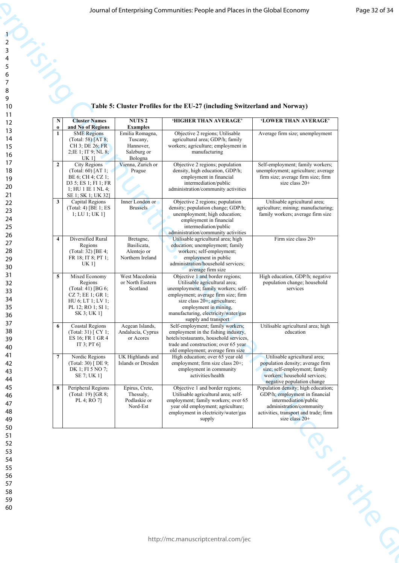# **Table 5: Cluster Profiles for the EU-27 (including Switzerland and Norway)**

|                         |                                                                                                                     |                                                                                       | Journal of Enterprising Communities: People and Places in the Global Economy                                                                                                                                                 |                                                                                                                                                                  |
|-------------------------|---------------------------------------------------------------------------------------------------------------------|---------------------------------------------------------------------------------------|------------------------------------------------------------------------------------------------------------------------------------------------------------------------------------------------------------------------------|------------------------------------------------------------------------------------------------------------------------------------------------------------------|
|                         |                                                                                                                     |                                                                                       |                                                                                                                                                                                                                              |                                                                                                                                                                  |
|                         |                                                                                                                     |                                                                                       | Table 5: Cluster Profiles for the EU-27 (including Switzerland and Norway)                                                                                                                                                   |                                                                                                                                                                  |
| $\mathbf N$             | <b>Cluster Names</b>                                                                                                | <b>NUTS 2</b>                                                                         | 'HIGHER THAN AVERAGE'                                                                                                                                                                                                        | 'LOWER THAN AVERAGE'                                                                                                                                             |
| $\bf{0}$<br>-1          | and No of Regions<br><b>SME</b> Regions<br>(Total: 58) $[AT 8;$<br>CH 3; DE 26; FR<br>2; IE 1; IT 9; NL 8;<br>UK 1] | <b>Examples</b><br>Emilia Romagna,<br>Tuscany,<br>Hannover,<br>Salzburg or<br>Bologna | Objective 2 regions; Utilisable<br>agricultural area; GDP/h; family<br>workers; agriculture; employment in<br>manufacturing                                                                                                  | Average firm size; unemployment                                                                                                                                  |
| $\overline{2}$          | City Regions<br>$(Total: 60)$ [AT 1;<br>BE 6; CH 4; CZ 1;<br>D3 5; ES 1; FI 1; FR<br>1; HU 1 IE 1 NL 4;             | Vienna, Zurich or<br>Prague                                                           | Objective 2 regions; population<br>density, high education, GDP/h;<br>employment in financial<br>intermediation/public<br>administration/community activities                                                                | Self-employment; family workers;<br>unemployment; agriculture; average<br>firm size; average firm size; firm<br>size class 20+                                   |
| $\vert 3 \vert$         | SE 1; SK 1; UK 32]<br>Capital Regions<br>(Total: 4) [BE 1; ES<br>1; LU 1; UK 1]                                     | Inner London or<br><b>Brussels</b>                                                    | Objective 2 regions; population<br>density; population change; GDP/h;<br>unemployment; high education;<br>employment in financial<br>intermediation/public                                                                   | Utilisable agricultural area;<br>agriculture; mining; manufacturing;<br>family workers; average firm size                                                        |
| $\overline{\mathbf{4}}$ | Diversified Rural<br>Regions<br>(Total: $32$ ) [BE 4;<br>FR 18; IT 8; PT 1;<br><b>UK1]</b>                          | Bretagne,<br>Basilicata,<br>Alentejo or<br>Northern Ireland                           | administration/community activities<br>Utilisable agricultural area; high<br>education; unemployment; family<br>workers; self-employment;<br>employment in public<br>administration/household services;<br>average firm size | Firm size class 20+                                                                                                                                              |
| $\overline{5}$          | Mixed Economy<br>Regions<br>(Total: 41) [BG 6;<br>CZ 7; EE 1; GR 1;<br>HU 6; LT 1; LV 1;<br>PL 12; RO 1; SI 1;      | West Macedonia<br>or North Eastern<br>Scotland                                        | Objective 1 and border regions;<br>Utilisable agricultural area;<br>unemployment; family workers; self-<br>employment; average firm size; firm<br>size class 20+; agriculture;<br>employment in mining,                      | High education, GDP/h; negative<br>population change; household<br>services                                                                                      |
| 6                       | SK 3; UK 1]<br><b>Coastal Regions</b><br>(Total: 31) [ CY 1;<br>ES 16; FR 1 GR 4<br>IT 3; PT $6$ ]                  | Aegean Islands,<br>Andalucía, Cyprus<br>or Acores                                     | manufacturing, electricity/water/gas<br>supply and transport<br>Self-employment; family workers;<br>employment in the fishing industry,<br>hotels/restaurants, household services,<br>trade and construction; over 65 year   | Utilisable agricultural area; high<br>education                                                                                                                  |
| $\overline{7}$          | Nordic Regions<br>(Total: 30) [DE 9;<br>DK 1; FI 5 NO 7;<br>SE 7; UK 1]                                             | UK Highlands and<br>Islands or Dresden                                                | old employment; average firm size<br>High education; over 65 year old<br>employment; firm size class 20+;<br>employment in community<br>activities/health                                                                    | Utilisable agricultural area;<br>population density; average firm<br>size; self-employment; family<br>workers; household services;<br>negative population change |
|                         | (Total: 19) [GR 8;<br>PL 4; RO 7]                                                                                   | Thessaly,<br>Podlaskie or<br>Nord-Est                                                 | Utilisable agricultural area; self-<br>employment; family workers; over 65<br>year old employment; agriculture;<br>employment in electricity/water/gas<br>supply                                                             | GDP/h; employment in financial<br>intermediation/public<br>administration/community<br>activities, transport and trade; firm<br>size class $20+$                 |
| 8                       | Peripheral Regions                                                                                                  | Epirus, Crete,                                                                        | Objective 1 and border regions;                                                                                                                                                                                              | Population density; high education;                                                                                                                              |
|                         |                                                                                                                     |                                                                                       | http://mc.manuscriptcentral.com/jec                                                                                                                                                                                          |                                                                                                                                                                  |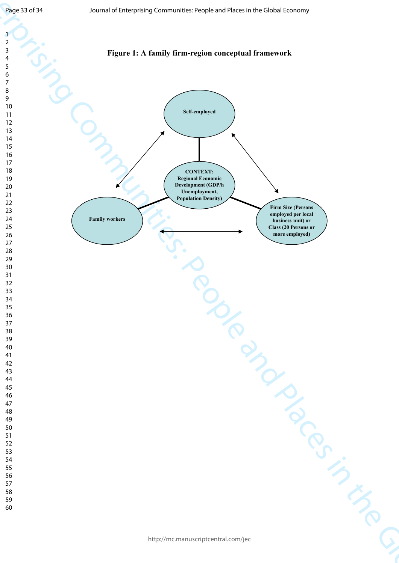